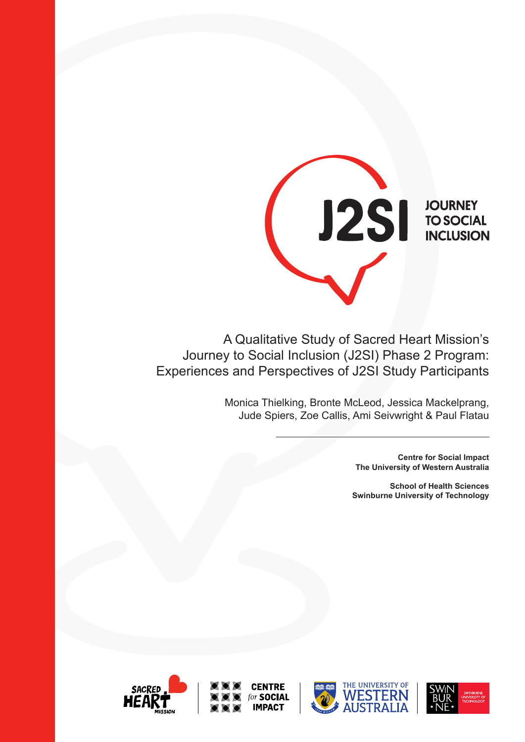

A Qualitative Study of Sacred Heart Mission's Journey to Social Inclusion (J2SI) Phase 2 Program: Experiences and Perspectives of J2SI Study Participants

> Monica Thielking, Bronte McLeod, Jessica Mackelprang, Jude Spiers, Zoe Callis, Ami Seivwright & Paul Flatau

> > **Centre for Social Impact The University of Western Australia**

**School of Health Sciences Swinburne University of Technology**

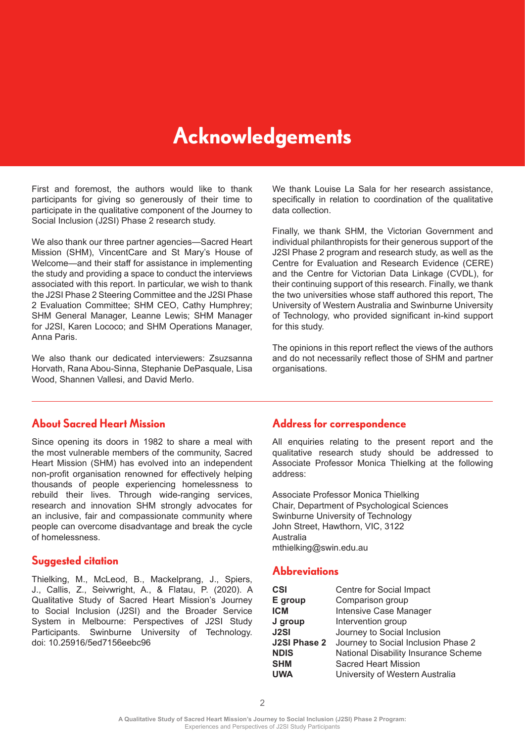## **Acknowledgements**

First and foremost, the authors would like to thank participants for giving so generously of their time to participate in the qualitative component of the Journey to Social Inclusion (J2SI) Phase 2 research study.

We also thank our three partner agencies—Sacred Heart Mission (SHM), VincentCare and St Mary's House of Welcome—and their staff for assistance in implementing the study and providing a space to conduct the interviews associated with this report. In particular, we wish to thank the J2SI Phase 2 Steering Committee and the J2SI Phase 2 Evaluation Committee; SHM CEO, Cathy Humphrey; SHM General Manager, Leanne Lewis; SHM Manager for J2SI, Karen Lococo; and SHM Operations Manager, Anna Paris.

We also thank our dedicated interviewers: Zsuzsanna Horvath, Rana Abou-Sinna, Stephanie DePasquale, Lisa Wood, Shannen Vallesi, and David Merlo.

We thank Louise La Sala for her research assistance. specifically in relation to coordination of the qualitative data collection.

Finally, we thank SHM, the Victorian Government and individual philanthropists for their generous support of the J2SI Phase 2 program and research study, as well as the Centre for Evaluation and Research Evidence (CERE) and the Centre for Victorian Data Linkage (CVDL), for their continuing support of this research. Finally, we thank the two universities whose staff authored this report, The University of Western Australia and Swinburne University of Technology, who provided significant in-kind support for this study.

The opinions in this report reflect the views of the authors and do not necessarily reflect those of SHM and partner organisations.

#### **About Sacred Heart Mission**

Since opening its doors in 1982 to share a meal with the most vulnerable members of the community, Sacred Heart Mission (SHM) has evolved into an independent non-profit organisation renowned for effectively helping thousands of people experiencing homelessness to rebuild their lives. Through wide-ranging services, research and innovation SHM strongly advocates for an inclusive, fair and compassionate community where people can overcome disadvantage and break the cycle of homelessness.

#### **Suggested citation**

Thielking, M., McLeod, B., Mackelprang, J., Spiers, J., Callis, Z., Seivwright, A., & Flatau, P. (2020). A Qualitative Study of Sacred Heart Mission's Journey to Social Inclusion (J2SI) and the Broader Service System in Melbourne: Perspectives of J2SI Study Participants. Swinburne University of Technology. doi: 10.25916/5ed7156eebc96

#### **Address for correspondence**

All enquiries relating to the present report and the qualitative research study should be addressed to Associate Professor Monica Thielking at the following address:

Associate Professor Monica Thielking Chair, Department of Psychological Sciences Swinburne University of Technology John Street, Hawthorn, VIC, 3122 Australia mthielking@swin.edu.au

#### **Abbreviations**

| CSI          | Centre for Social Impact             |
|--------------|--------------------------------------|
| E group      | Comparison group                     |
| <b>ICM</b>   | Intensive Case Manager               |
| J group      | Intervention group                   |
| J2SI         | Journey to Social Inclusion          |
| J2SI Phase 2 | Journey to Social Inclusion Phase 2  |
| <b>NDIS</b>  | National Disability Insurance Scheme |
| <b>SHM</b>   | <b>Sacred Heart Mission</b>          |
| <b>UWA</b>   | University of Western Australia      |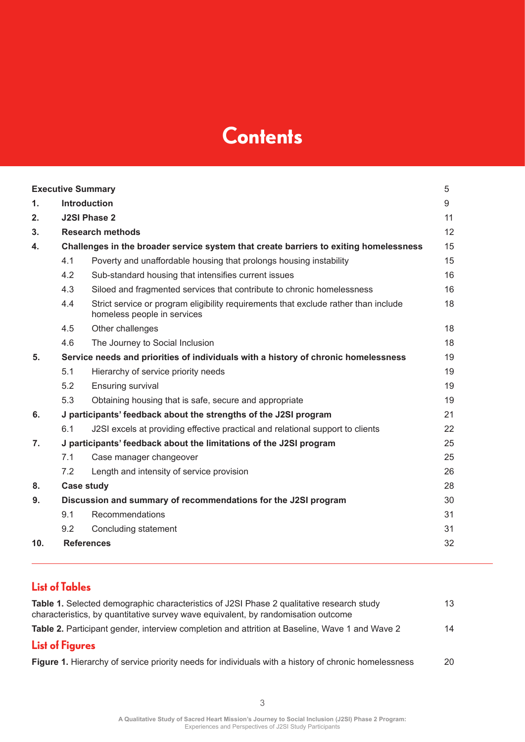## **Contents**

|     |                                                                                                                    | 5                                                                                                                                                                                                                                                                                                                                                                                                                                                                                                                                      |
|-----|--------------------------------------------------------------------------------------------------------------------|----------------------------------------------------------------------------------------------------------------------------------------------------------------------------------------------------------------------------------------------------------------------------------------------------------------------------------------------------------------------------------------------------------------------------------------------------------------------------------------------------------------------------------------|
|     |                                                                                                                    | 9                                                                                                                                                                                                                                                                                                                                                                                                                                                                                                                                      |
|     |                                                                                                                    | 11                                                                                                                                                                                                                                                                                                                                                                                                                                                                                                                                     |
|     |                                                                                                                    | 12                                                                                                                                                                                                                                                                                                                                                                                                                                                                                                                                     |
|     |                                                                                                                    | 15                                                                                                                                                                                                                                                                                                                                                                                                                                                                                                                                     |
| 4.1 | Poverty and unaffordable housing that prolongs housing instability                                                 | 15                                                                                                                                                                                                                                                                                                                                                                                                                                                                                                                                     |
| 4.2 | Sub-standard housing that intensifies current issues                                                               | 16                                                                                                                                                                                                                                                                                                                                                                                                                                                                                                                                     |
| 4.3 | Siloed and fragmented services that contribute to chronic homelessness                                             | 16                                                                                                                                                                                                                                                                                                                                                                                                                                                                                                                                     |
| 4.4 | Strict service or program eligibility requirements that exclude rather than include<br>homeless people in services | 18                                                                                                                                                                                                                                                                                                                                                                                                                                                                                                                                     |
| 4.5 | Other challenges                                                                                                   | 18                                                                                                                                                                                                                                                                                                                                                                                                                                                                                                                                     |
| 4.6 | The Journey to Social Inclusion                                                                                    | 18                                                                                                                                                                                                                                                                                                                                                                                                                                                                                                                                     |
|     |                                                                                                                    | 19                                                                                                                                                                                                                                                                                                                                                                                                                                                                                                                                     |
| 5.1 | Hierarchy of service priority needs                                                                                | 19                                                                                                                                                                                                                                                                                                                                                                                                                                                                                                                                     |
| 5.2 | Ensuring survival                                                                                                  | 19                                                                                                                                                                                                                                                                                                                                                                                                                                                                                                                                     |
| 5.3 | Obtaining housing that is safe, secure and appropriate                                                             | 19                                                                                                                                                                                                                                                                                                                                                                                                                                                                                                                                     |
|     |                                                                                                                    | 21                                                                                                                                                                                                                                                                                                                                                                                                                                                                                                                                     |
| 6.1 | J2SI excels at providing effective practical and relational support to clients                                     | 22                                                                                                                                                                                                                                                                                                                                                                                                                                                                                                                                     |
|     |                                                                                                                    | 25                                                                                                                                                                                                                                                                                                                                                                                                                                                                                                                                     |
| 7.1 | Case manager changeover                                                                                            | 25                                                                                                                                                                                                                                                                                                                                                                                                                                                                                                                                     |
| 7.2 | Length and intensity of service provision                                                                          | 26                                                                                                                                                                                                                                                                                                                                                                                                                                                                                                                                     |
|     |                                                                                                                    | 28                                                                                                                                                                                                                                                                                                                                                                                                                                                                                                                                     |
|     |                                                                                                                    | 30                                                                                                                                                                                                                                                                                                                                                                                                                                                                                                                                     |
| 9.1 | Recommendations                                                                                                    | 31                                                                                                                                                                                                                                                                                                                                                                                                                                                                                                                                     |
| 9.2 | Concluding statement                                                                                               | 31                                                                                                                                                                                                                                                                                                                                                                                                                                                                                                                                     |
|     |                                                                                                                    | 32                                                                                                                                                                                                                                                                                                                                                                                                                                                                                                                                     |
|     |                                                                                                                    | <b>Executive Summary</b><br><b>Introduction</b><br><b>J2SI Phase 2</b><br><b>Research methods</b><br>Challenges in the broader service system that create barriers to exiting homelessness<br>Service needs and priorities of individuals with a history of chronic homelessness<br>J participants' feedback about the strengths of the J2SI program<br>J participants' feedback about the limitations of the J2SI program<br><b>Case study</b><br>Discussion and summary of recommendations for the J2SI program<br><b>References</b> |

#### **List of Tables**

| <b>Table 1.</b> Selected demographic characteristics of J2SI Phase 2 qualitative research study<br>characteristics, by quantitative survey wave equivalent, by randomisation outcome | 13 |
|--------------------------------------------------------------------------------------------------------------------------------------------------------------------------------------|----|
| <b>Table 2.</b> Participant gender, interview completion and attrition at Baseline, Wave 1 and Wave 2                                                                                | 14 |
| <b>List of Figures</b>                                                                                                                                                               |    |
| Figure 1. Hierarchy of service priority needs for individuals with a history of chronic homelessness                                                                                 | 20 |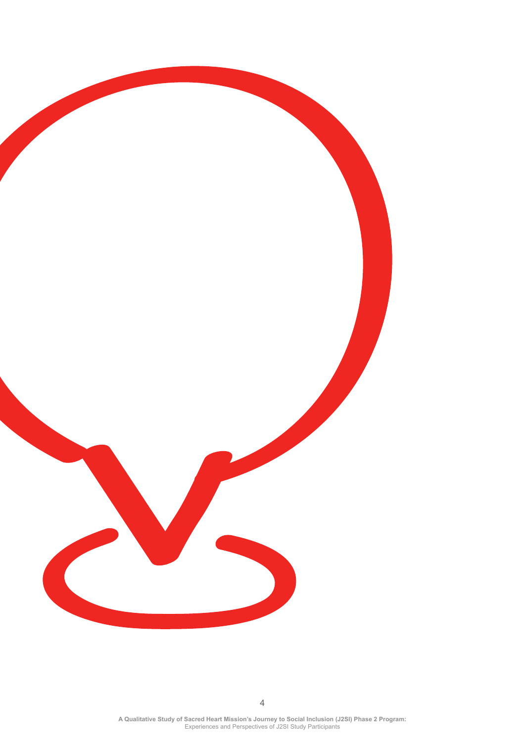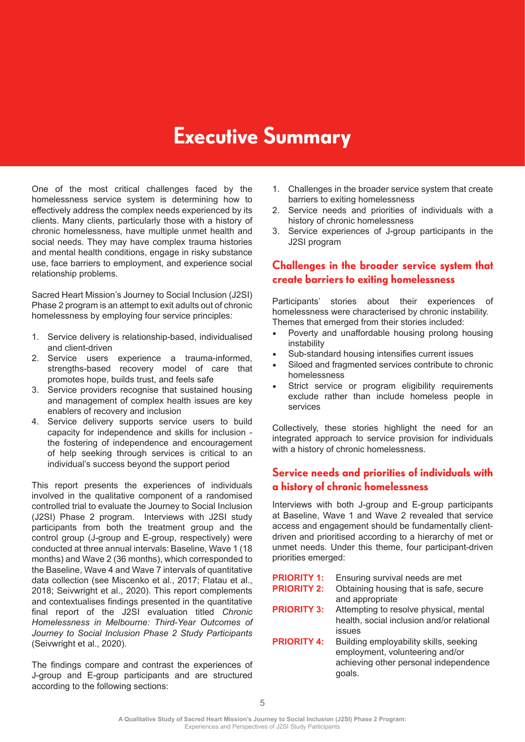## **Executive Summary**

One of the most critical challenges faced by the homelessness service system is determining how to effectively address the complex needs experienced by its clients. Many clients, particularly those with a history of chronic homelessness, have multiple unmet health and social needs. They may have complex trauma histories and mental health conditions, engage in risky substance use, face barriers to employment, and experience social relationship problems.

Sacred Heart Mission's Journey to Social Inclusion (J2SI) Phase 2 program is an attempt to exit adults out of chronic homelessness by employing four service principles:

- 1. Service delivery is relationship-based, individualised and client-driven
- 2. Service users experience a trauma-informed, strengths-based recovery model of care that promotes hope, builds trust, and feels safe
- 3. Service providers recognise that sustained housing and management of complex health issues are key enablers of recovery and inclusion
- 4. Service delivery supports service users to build capacity for independence and skills for inclusion the fostering of independence and encouragement of help seeking through services is critical to an individual's success beyond the support period

This report presents the experiences of individuals involved in the qualitative component of a randomised controlled trial to evaluate the Journey to Social Inclusion (J2SI) Phase 2 program. Interviews with J2SI study participants from both the treatment group and the control group (J-group and E-group, respectively) were conducted at three annual intervals: Baseline, Wave 1 (18 months) and Wave 2 (36 months), which corresponded to the Baseline, Wave 4 and Wave 7 intervals of quantitative data collection (see Miscenko et al., 2017; Flatau et al., 2018; Seivwright et al., 2020). This report complements and contextualises findings presented in the quantitative final report of the J2SI evaluation titled *Chronic Homelessness in Melbourne: Third-Year Outcomes of Journey to Social Inclusion Phase 2 Study Participants*  (Seivwright et al., 2020).

The findings compare and contrast the experiences of J-group and E-group participants and are structured according to the following sections:

- 1. Challenges in the broader service system that create barriers to exiting homelessness
- 2. Service needs and priorities of individuals with a history of chronic homelessness
- 3. Service experiences of J-group participants in the J2SI program

#### **Challenges in the broader service system that create barriers to exiting homelessness**

Participants' stories about their experiences of homelessness were characterised by chronic instability. Themes that emerged from their stories included:

- Poverty and unaffordable housing prolong housing instability
- Sub-standard housing intensifies current issues
- Siloed and fragmented services contribute to chronic homelessness
- Strict service or program eligibility requirements exclude rather than include homeless people in services

Collectively, these stories highlight the need for an integrated approach to service provision for individuals with a history of chronic homelessness.

#### **Service needs and priorities of individuals with a history of chronic homelessness**

Interviews with both J-group and E-group participants at Baseline, Wave 1 and Wave 2 revealed that service access and engagement should be fundamentally clientdriven and prioritised according to a hierarchy of met or unmet needs. Under this theme, four participant-driven priorities emerged:

| <b>PRIORITY 1:</b> | Ensuring survival needs are met                                                                                              |
|--------------------|------------------------------------------------------------------------------------------------------------------------------|
| <b>PRIORITY 2:</b> | Obtaining housing that is safe, secure<br>and appropriate                                                                    |
| <b>PRIORITY 3:</b> | Attempting to resolve physical, mental<br>health, social inclusion and/or relational<br>issues                               |
| <b>PRIORITY 4:</b> | Building employability skills, seeking<br>employment, volunteering and/or<br>achieving other personal independence<br>goals. |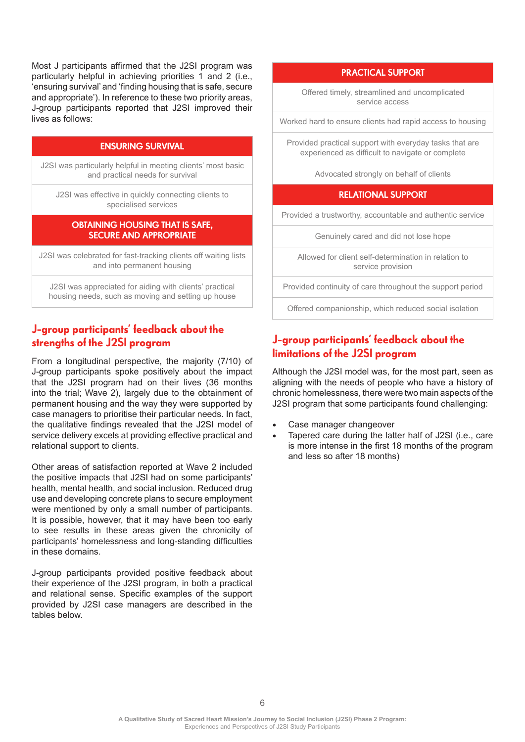Most J participants affirmed that the J2SI program was particularly helpful in achieving priorities 1 and 2 (i.e., 'ensuring survival' and 'finding housing that is safe, secure and appropriate'). In reference to these two priority areas, J-group participants reported that J2SI improved their lives as follows:

#### **ENSURING SURVIVAL**

J2SI was particularly helpful in meeting clients' most basic and practical needs for survival

J2SI was effective in quickly connecting clients to specialised services

#### **OBTAINING HOUSING THAT IS SAFE, SECURE AND APPROPRIATE**

J2SI was celebrated for fast-tracking clients off waiting lists and into permanent housing

J2SI was appreciated for aiding with clients' practical housing needs, such as moving and setting up house

#### **J-group participants' feedback about the strengths of the J2SI program**

From a longitudinal perspective, the majority (7/10) of J-group participants spoke positively about the impact that the J2SI program had on their lives (36 months into the trial; Wave 2), largely due to the obtainment of permanent housing and the way they were supported by case managers to prioritise their particular needs. In fact, the qualitative findings revealed that the J2SI model of service delivery excels at providing effective practical and relational support to clients.

Other areas of satisfaction reported at Wave 2 included the positive impacts that J2SI had on some participants' health, mental health, and social inclusion. Reduced drug use and developing concrete plans to secure employment were mentioned by only a small number of participants. It is possible, however, that it may have been too early to see results in these areas given the chronicity of participants' homelessness and long-standing difficulties in these domains.

J-group participants provided positive feedback about their experience of the J2SI program, in both a practical and relational sense. Specific examples of the support provided by J2SI case managers are described in the tables below.

#### **PRACTICAL SUPPORT**

Offered timely, streamlined and uncomplicated service access

Worked hard to ensure clients had rapid access to housing

Provided practical support with everyday tasks that are experienced as difficult to navigate or complete

Advocated strongly on behalf of clients

#### **RELATIONAL SUPPORT**

Provided a trustworthy, accountable and authentic service

Genuinely cared and did not lose hope

Allowed for client self-determination in relation to service provision

Provided continuity of care throughout the support period

Offered companionship, which reduced social isolation

#### **J-group participants' feedback about the limitations of the J2SI program**

Although the J2SI model was, for the most part, seen as aligning with the needs of people who have a history of chronic homelessness, there were two main aspects of the J2SI program that some participants found challenging:

- Case manager changeover
- Tapered care during the latter half of J2SI (i.e., care is more intense in the first 18 months of the program and less so after 18 months)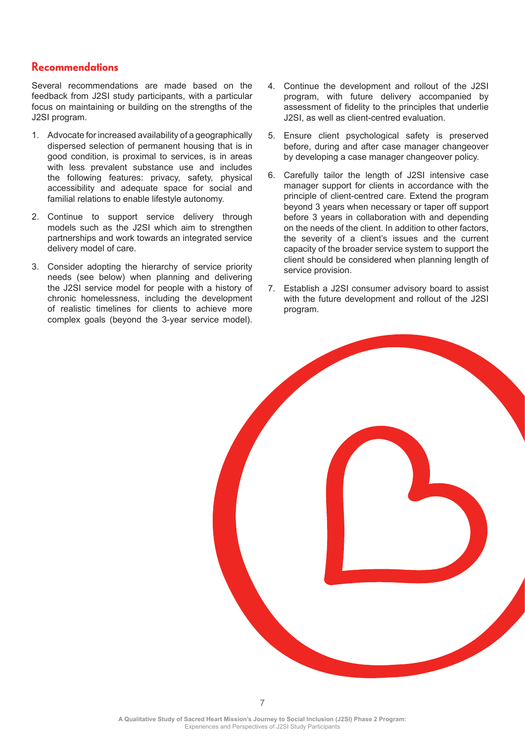#### **Recommendations**

Several recommendations are made based on the feedback from J2SI study participants, with a particular focus on maintaining or building on the strengths of the J2SI program.

- 1. Advocate for increased availability of a geographically dispersed selection of permanent housing that is in good condition, is proximal to services, is in areas with less prevalent substance use and includes the following features: privacy, safety, physical accessibility and adequate space for social and familial relations to enable lifestyle autonomy.
- 2. Continue to support service delivery through models such as the J2SI which aim to strengthen partnerships and work towards an integrated service delivery model of care.
- 3. Consider adopting the hierarchy of service priority needs (see below) when planning and delivering the J2SI service model for people with a history of chronic homelessness, including the development of realistic timelines for clients to achieve more complex goals (beyond the 3-year service model).
- 4. Continue the development and rollout of the J2SI program, with future delivery accompanied by assessment of fidelity to the principles that underlie J2SI, as well as client-centred evaluation.
- 5. Ensure client psychological safety is preserved before, during and after case manager changeover by developing a case manager changeover policy.
- 6. Carefully tailor the length of J2SI intensive case manager support for clients in accordance with the principle of client-centred care. Extend the program beyond 3 years when necessary or taper off support before 3 years in collaboration with and depending on the needs of the client. In addition to other factors, the severity of a client's issues and the current capacity of the broader service system to support the client should be considered when planning length of service provision.
- 7. Establish a J2SI consumer advisory board to assist with the future development and rollout of the J2SI program.

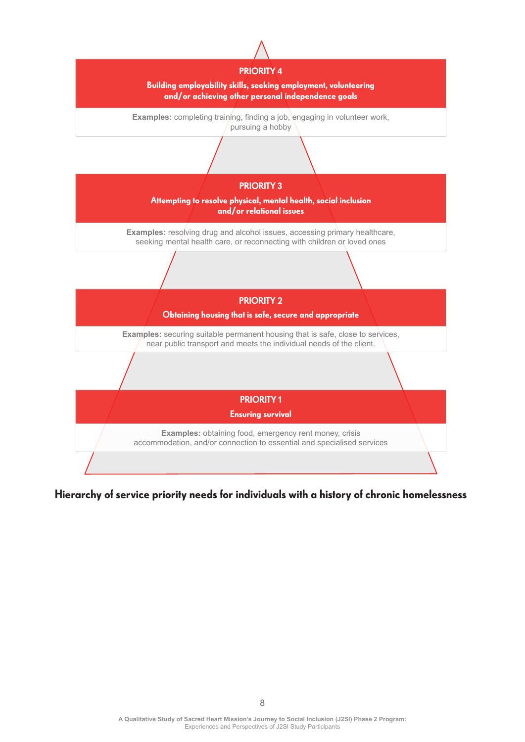

**Hierarchy of service priority needs for individuals with a history of chronic homelessness**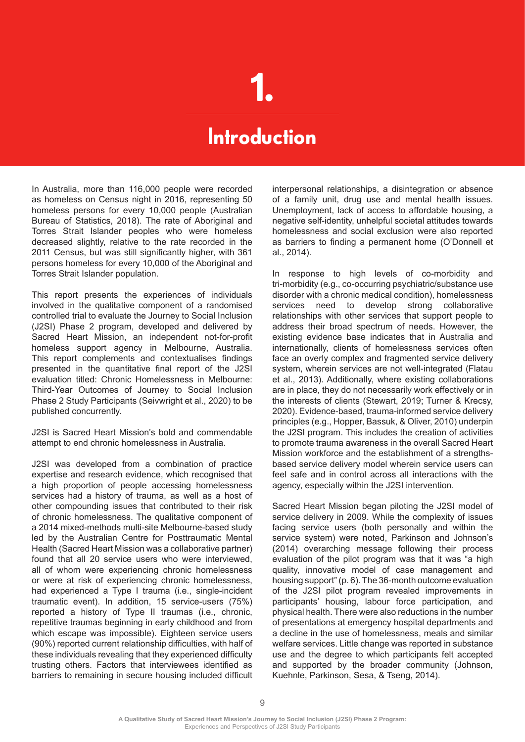

## **Introduction**

In Australia, more than 116,000 people were recorded as homeless on Census night in 2016, representing 50 homeless persons for every 10,000 people (Australian Bureau of Statistics, 2018). The rate of Aboriginal and Torres Strait Islander peoples who were homeless decreased slightly, relative to the rate recorded in the 2011 Census, but was still significantly higher, with 361 persons homeless for every 10,000 of the Aboriginal and Torres Strait Islander population.

This report presents the experiences of individuals involved in the qualitative component of a randomised controlled trial to evaluate the Journey to Social Inclusion (J2SI) Phase 2 program, developed and delivered by Sacred Heart Mission, an independent not-for-profit homeless support agency in Melbourne, Australia. This report complements and contextualises findings presented in the quantitative final report of the J2SI evaluation titled: Chronic Homelessness in Melbourne: Third-Year Outcomes of Journey to Social Inclusion Phase 2 Study Participants (Seivwright et al., 2020) to be published concurrently.

J2SI is Sacred Heart Mission's bold and commendable attempt to end chronic homelessness in Australia.

J2SI was developed from a combination of practice expertise and research evidence, which recognised that a high proportion of people accessing homelessness services had a history of trauma, as well as a host of other compounding issues that contributed to their risk of chronic homelessness. The qualitative component of a 2014 mixed-methods multi-site Melbourne-based study led by the Australian Centre for Posttraumatic Mental Health (Sacred Heart Mission was a collaborative partner) found that all 20 service users who were interviewed, all of whom were experiencing chronic homelessness or were at risk of experiencing chronic homelessness, had experienced a Type I trauma (i.e., single-incident traumatic event). In addition, 15 service-users (75%) reported a history of Type II traumas (i.e., chronic, repetitive traumas beginning in early childhood and from which escape was impossible). Eighteen service users (90%) reported current relationship difficulties, with half of these individuals revealing that they experienced difficulty trusting others. Factors that interviewees identified as barriers to remaining in secure housing included difficult interpersonal relationships, a disintegration or absence of a family unit, drug use and mental health issues. Unemployment, lack of access to affordable housing, a negative self-identity, unhelpful societal attitudes towards homelessness and social exclusion were also reported as barriers to finding a permanent home (O'Donnell et al., 2014).

In response to high levels of co-morbidity and tri-morbidity (e.g., co-occurring psychiatric/substance use disorder with a chronic medical condition), homelessness services need to develop strong collaborative relationships with other services that support people to address their broad spectrum of needs. However, the existing evidence base indicates that in Australia and internationally, clients of homelessness services often face an overly complex and fragmented service delivery system, wherein services are not well-integrated (Flatau et al., 2013). Additionally, where existing collaborations are in place, they do not necessarily work effectively or in the interests of clients (Stewart, 2019; Turner & Krecsy, 2020). Evidence-based, trauma-informed service delivery principles (e.g., Hopper, Bassuk, & Oliver, 2010) underpin the J2SI program. This includes the creation of activities to promote trauma awareness in the overall Sacred Heart Mission workforce and the establishment of a strengthsbased service delivery model wherein service users can feel safe and in control across all interactions with the agency, especially within the J2SI intervention.

Sacred Heart Mission began piloting the J2SI model of service delivery in 2009. While the complexity of issues facing service users (both personally and within the service system) were noted, Parkinson and Johnson's (2014) overarching message following their process evaluation of the pilot program was that it was "a high quality, innovative model of case management and housing support" (p. 6). The 36-month outcome evaluation of the J2SI pilot program revealed improvements in participants' housing, labour force participation, and physical health. There were also reductions in the number of presentations at emergency hospital departments and a decline in the use of homelessness, meals and similar welfare services. Little change was reported in substance use and the degree to which participants felt accepted and supported by the broader community (Johnson, Kuehnle, Parkinson, Sesa, & Tseng, 2014).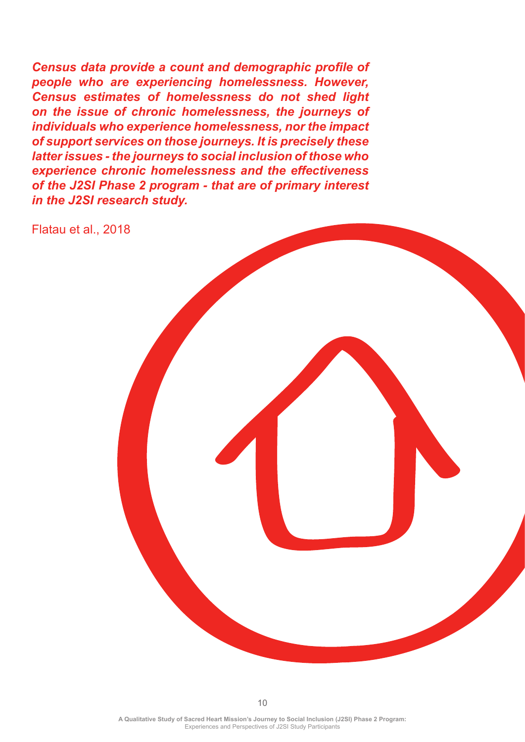*Census data provide a count and demographic profile of people who are experiencing homelessness. However, Census estimates of homelessness do not shed light on the issue of chronic homelessness, the journeys of individuals who experience homelessness, nor the impact of support services on those journeys. It is precisely these latter issues - the journeys to social inclusion of those who experience chronic homelessness and the effectiveness of the J2SI Phase 2 program - that are of primary interest in the J2SI research study.*

Flatau et al., 2018

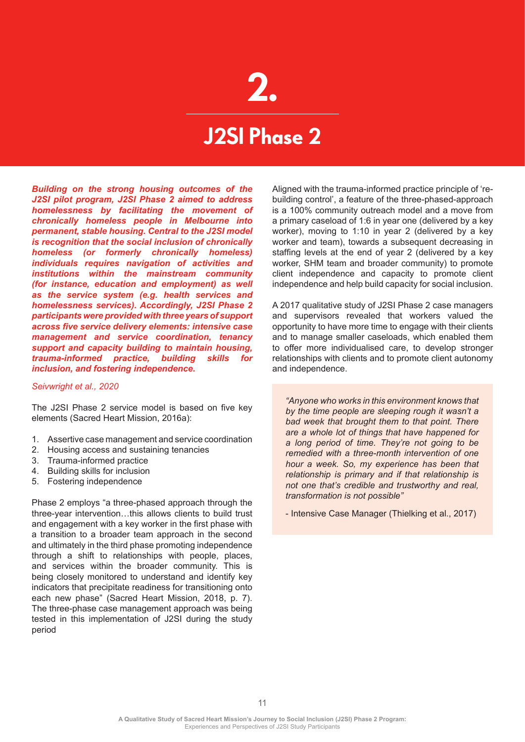# **2.**

# **J2SI Phase 2**

*Building on the strong housing outcomes of the J2SI pilot program, J2SI Phase 2 aimed to address homelessness by facilitating the movement of chronically homeless people in Melbourne into permanent, stable housing. Central to the J2SI model is recognition that the social inclusion of chronically homeless (or formerly chronically homeless) individuals requires navigation of activities and institutions within the mainstream community (for instance, education and employment) as well as the service system (e.g. health services and homelessness services). Accordingly, J2SI Phase 2 participants were provided with three years of support across five service delivery elements: intensive case management and service coordination, tenancy support and capacity building to maintain housing, trauma-informed practice, building skills for inclusion, and fostering independence.* 

#### *Seivwright et al., 2020*

The J2SI Phase 2 service model is based on five key elements (Sacred Heart Mission, 2016a):

- 1. Assertive case management and service coordination
- 2. Housing access and sustaining tenancies
- 3. Trauma-informed practice
- 4. Building skills for inclusion
- 5. Fostering independence

Phase 2 employs "a three-phased approach through the three-year intervention…this allows clients to build trust and engagement with a key worker in the first phase with a transition to a broader team approach in the second and ultimately in the third phase promoting independence through a shift to relationships with people, places, and services within the broader community. This is being closely monitored to understand and identify key indicators that precipitate readiness for transitioning onto each new phase" (Sacred Heart Mission, 2018, p. 7). The three-phase case management approach was being tested in this implementation of J2SI during the study period

Aligned with the trauma-informed practice principle of 'rebuilding control', a feature of the three-phased-approach is a 100% community outreach model and a move from a primary caseload of 1:6 in year one (delivered by a key worker), moving to 1:10 in year 2 (delivered by a key worker and team), towards a subsequent decreasing in staffing levels at the end of year 2 (delivered by a key worker, SHM team and broader community) to promote client independence and capacity to promote client independence and help build capacity for social inclusion.

A 2017 qualitative study of J2SI Phase 2 case managers and supervisors revealed that workers valued the opportunity to have more time to engage with their clients and to manage smaller caseloads, which enabled them to offer more individualised care, to develop stronger relationships with clients and to promote client autonomy and independence.

*"Anyone who works in this environment knows that by the time people are sleeping rough it wasn't a bad week that brought them to that point. There are a whole lot of things that have happened for a long period of time. They're not going to be remedied with a three-month intervention of one hour a week. So, my experience has been that relationship is primary and if that relationship is not one that's credible and trustworthy and real, transformation is not possible"* 

- Intensive Case Manager (Thielking et al., 2017)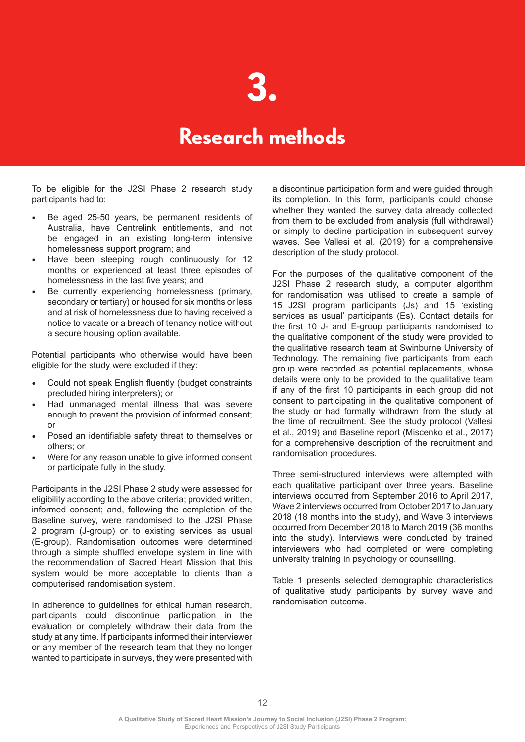# **3.**

# **Research methods**

To be eligible for the J2SI Phase 2 research study participants had to:

- Be aged 25-50 years, be permanent residents of Australia, have Centrelink entitlements, and not be engaged in an existing long-term intensive homelessness support program; and
- Have been sleeping rough continuously for 12 months or experienced at least three episodes of homelessness in the last five years; and
- Be currently experiencing homelessness (primary, secondary or tertiary) or housed for six months or less and at risk of homelessness due to having received a notice to vacate or a breach of tenancy notice without a secure housing option available.

Potential participants who otherwise would have been eligible for the study were excluded if they:

- Could not speak English fluently (budget constraints precluded hiring interpreters); or
- Had unmanaged mental illness that was severe enough to prevent the provision of informed consent; or
- Posed an identifiable safety threat to themselves or others; or
- Were for any reason unable to give informed consent or participate fully in the study.

Participants in the J2SI Phase 2 study were assessed for eligibility according to the above criteria; provided written, informed consent; and, following the completion of the Baseline survey, were randomised to the J2SI Phase 2 program (J-group) or to existing services as usual (E-group). Randomisation outcomes were determined through a simple shuffled envelope system in line with the recommendation of Sacred Heart Mission that this system would be more acceptable to clients than a computerised randomisation system.

In adherence to quidelines for ethical human research, participants could discontinue participation in the evaluation or completely withdraw their data from the study at any time. If participants informed their interviewer or any member of the research team that they no longer wanted to participate in surveys, they were presented with

a discontinue participation form and were guided through its completion. In this form, participants could choose whether they wanted the survey data already collected from them to be excluded from analysis (full withdrawal) or simply to decline participation in subsequent survey waves. See Vallesi et al. (2019) for a comprehensive description of the study protocol.

For the purposes of the qualitative component of the J2SI Phase 2 research study, a computer algorithm for randomisation was utilised to create a sample of 15 J2SI program participants (Js) and 15 'existing services as usual' participants (Es). Contact details for the first 10 J- and E-group participants randomised to the qualitative component of the study were provided to the qualitative research team at Swinburne University of Technology. The remaining five participants from each group were recorded as potential replacements, whose details were only to be provided to the qualitative team if any of the first 10 participants in each group did not consent to participating in the qualitative component of the study or had formally withdrawn from the study at the time of recruitment. See the study protocol (Vallesi et al., 2019) and Baseline report (Miscenko et al., 2017) for a comprehensive description of the recruitment and randomisation procedures.

Three semi-structured interviews were attempted with each qualitative participant over three years. Baseline interviews occurred from September 2016 to April 2017, Wave 2 interviews occurred from October 2017 to January 2018 (18 months into the study), and Wave 3 interviews occurred from December 2018 to March 2019 (36 months into the study). Interviews were conducted by trained interviewers who had completed or were completing university training in psychology or counselling.

Table 1 presents selected demographic characteristics of qualitative study participants by survey wave and randomisation outcome.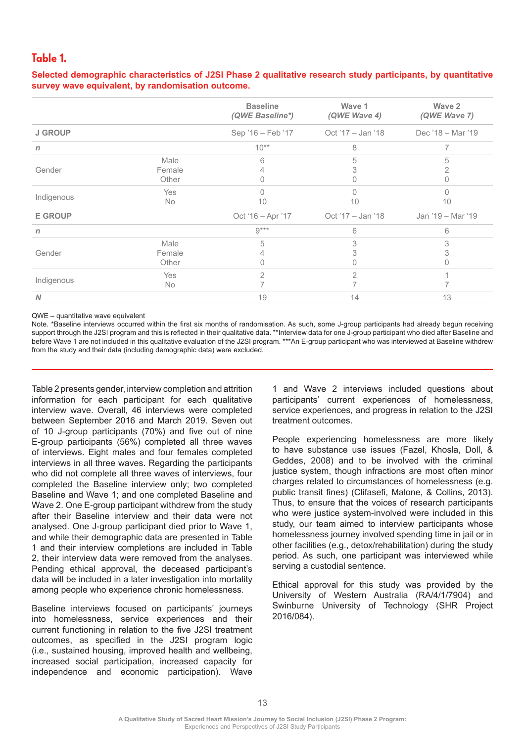#### **Table 1.**

**Selected demographic characteristics of J2SI Phase 2 qualitative research study participants, by quantitative survey wave equivalent, by randomisation outcome.**

|                |                         | <b>Baseline</b><br>(QWE Baseline*) | Wave 1<br>(QWE Wave 4) | Wave 2<br>(QWE Wave 7) |
|----------------|-------------------------|------------------------------------|------------------------|------------------------|
| <b>J GROUP</b> |                         | Sep '16 – Feb '17                  | Oct '17 – Jan '18      | Dec '18 - Mar '19      |
| $\mathsf{n}$   |                         | $10**$                             | 8                      | 7                      |
| Gender         | Male<br>Female<br>Other | 6<br>4                             | 5<br>3<br>$\mathbf{0}$ | 5<br>2<br>0            |
| Indigenous     | Yes<br><b>No</b>        | $\bigcap$<br>10                    | $\Omega$<br>10         | $\Omega$<br>10         |
| <b>E GROUP</b> |                         | Oct '16 - Apr '17                  | Oct '17 - Jan '18      | Jan '19 - Mar '19      |
| $\mathsf{n}$   |                         | $9***$                             | 6                      | 6                      |
| Gender         | Male<br>Female<br>Other | 5<br>4                             | 3<br>3<br>0            | 3<br>3<br>0            |
| Indigenous     | Yes<br>No.              | $\overline{2}$                     | $\overline{2}$<br>7    |                        |
| $\overline{N}$ |                         | 19                                 | 14                     | 13                     |

QWE – quantitative wave equivalent

Note. \*Baseline interviews occurred within the first six months of randomisation. As such, some J-group participants had already begun receiving support through the J2SI program and this is reflected in their qualitative data. \*\*Interview data for one J-group participant who died after Baseline and before Wave 1 are not included in this qualitative evaluation of the J2SI program. \*\*\*An E-group participant who was interviewed at Baseline withdrew from the study and their data (including demographic data) were excluded.

Table 2 presents gender, interview completion and attrition information for each participant for each qualitative interview wave. Overall, 46 interviews were completed between September 2016 and March 2019. Seven out of 10 J-group participants (70%) and five out of nine E-group participants (56%) completed all three waves of interviews. Eight males and four females completed interviews in all three waves. Regarding the participants who did not complete all three waves of interviews, four completed the Baseline interview only; two completed Baseline and Wave 1; and one completed Baseline and Wave 2. One E-group participant withdrew from the study after their Baseline interview and their data were not analysed. One J-group participant died prior to Wave 1, and while their demographic data are presented in Table 1 and their interview completions are included in Table 2, their interview data were removed from the analyses. Pending ethical approval, the deceased participant's data will be included in a later investigation into mortality among people who experience chronic homelessness.

Baseline interviews focused on participants' journeys into homelessness, service experiences and their current functioning in relation to the five J2SI treatment outcomes, as specified in the J2SI program logic (i.e., sustained housing, improved health and wellbeing, increased social participation, increased capacity for independence and economic participation). Wave

1 and Wave 2 interviews included questions about participants' current experiences of homelessness, service experiences, and progress in relation to the J2SI treatment outcomes.

People experiencing homelessness are more likely to have substance use issues (Fazel, Khosla, Doll, & Geddes, 2008) and to be involved with the criminal justice system, though infractions are most often minor charges related to circumstances of homelessness (e.g. public transit fines) (Clifasefi, Malone, & Collins, 2013). Thus, to ensure that the voices of research participants who were justice system-involved were included in this study, our team aimed to interview participants whose homelessness journey involved spending time in jail or in other facilities (e.g., detox/rehabilitation) during the study period. As such, one participant was interviewed while serving a custodial sentence.

Ethical approval for this study was provided by the University of Western Australia (RA/4/1/7904) and Swinburne University of Technology (SHR Project 2016/084).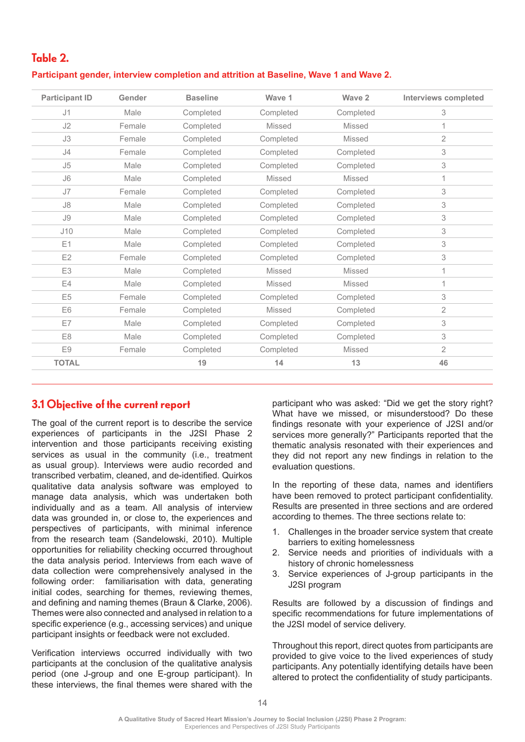#### **Table 2.**

#### **Participant gender, interview completion and attrition at Baseline, Wave 1 and Wave 2.**

|                |        | <b>Baseline</b> | Wave 1    | Wave 2    | Interviews completed      |
|----------------|--------|-----------------|-----------|-----------|---------------------------|
| J <sub>1</sub> | Male   | Completed       | Completed | Completed | 3                         |
| J2             | Female | Completed       | Missed    | Missed    |                           |
| J3             | Female | Completed       | Completed | Missed    | $\overline{2}$            |
| J4             | Female | Completed       | Completed | Completed | 3                         |
| J5             | Male   | Completed       | Completed | Completed | 3                         |
| J6             | Male   | Completed       | Missed    | Missed    |                           |
| J7             | Female | Completed       | Completed | Completed | 3                         |
| J8             | Male   | Completed       | Completed | Completed | 3                         |
| J9             | Male   | Completed       | Completed | Completed | $\ensuremath{\mathbf{3}}$ |
| J10            | Male   | Completed       | Completed | Completed | 3                         |
| E1             | Male   | Completed       | Completed | Completed | 3                         |
| E2             | Female | Completed       | Completed | Completed | 3                         |
| E <sub>3</sub> | Male   | Completed       | Missed    | Missed    |                           |
| E4             | Male   | Completed       | Missed    | Missed    | 1                         |
| E <sub>5</sub> | Female | Completed       | Completed | Completed | 3                         |
| E6             | Female | Completed       | Missed    | Completed | $\overline{2}$            |
| <b>E7</b>      | Male   | Completed       | Completed | Completed | 3                         |
| E <sub>8</sub> | Male   | Completed       | Completed | Completed | 3                         |
| E9             | Female | Completed       | Completed | Missed    | $\overline{2}$            |
| <b>TOTAL</b>   |        | 19              | 14        | 13        | 46                        |

#### **3.1 Objective of the current report**

The goal of the current report is to describe the service experiences of participants in the J2SI Phase 2 intervention and those participants receiving existing services as usual in the community (i.e., treatment as usual group). Interviews were audio recorded and transcribed verbatim, cleaned, and de-identified. Quirkos qualitative data analysis software was employed to manage data analysis, which was undertaken both individually and as a team. All analysis of interview data was grounded in, or close to, the experiences and perspectives of participants, with minimal inference from the research team (Sandelowski, 2010). Multiple opportunities for reliability checking occurred throughout the data analysis period. Interviews from each wave of data collection were comprehensively analysed in the following order: familiarisation with data, generating initial codes, searching for themes, reviewing themes, and defining and naming themes (Braun & Clarke, 2006). Themes were also connected and analysed in relation to a specific experience (e.g., accessing services) and unique participant insights or feedback were not excluded.

Verification interviews occurred individually with two participants at the conclusion of the qualitative analysis period (one J-group and one E-group participant). In these interviews, the final themes were shared with the

participant who was asked: "Did we get the story right? What have we missed, or misunderstood? Do these findings resonate with your experience of J2SI and/or services more generally?" Participants reported that the thematic analysis resonated with their experiences and they did not report any new findings in relation to the evaluation questions.

In the reporting of these data, names and identifiers have been removed to protect participant confidentiality. Results are presented in three sections and are ordered according to themes. The three sections relate to:

- 1. Challenges in the broader service system that create barriers to exiting homelessness
- 2. Service needs and priorities of individuals with a history of chronic homelessness
- 3. Service experiences of J-group participants in the J2SI program

Results are followed by a discussion of findings and specific recommendations for future implementations of the J2SI model of service delivery.

Throughout this report, direct quotes from participants are provided to give voice to the lived experiences of study participants. Any potentially identifying details have been altered to protect the confidentiality of study participants.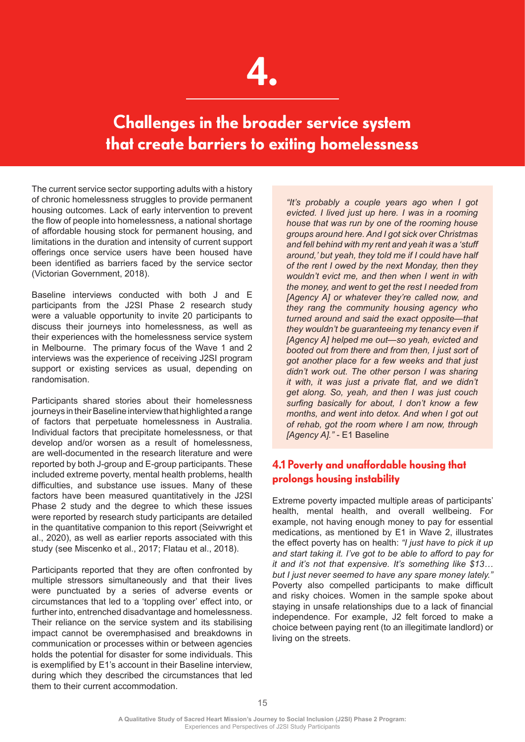**4.**

## **Challenges in the broader service system that create barriers to exiting homelessness**

The current service sector supporting adults with a history of chronic homelessness struggles to provide permanent housing outcomes. Lack of early intervention to prevent the flow of people into homelessness, a national shortage of affordable housing stock for permanent housing, and limitations in the duration and intensity of current support offerings once service users have been housed have been identified as barriers faced by the service sector (Victorian Government, 2018).

Baseline interviews conducted with both J and E participants from the J2SI Phase 2 research study were a valuable opportunity to invite 20 participants to discuss their journeys into homelessness, as well as their experiences with the homelessness service system in Melbourne. The primary focus of the Wave 1 and 2 interviews was the experience of receiving J2SI program support or existing services as usual, depending on randomisation.

Participants shared stories about their homelessness journeys in their Baseline interview that highlighted a range of factors that perpetuate homelessness in Australia. Individual factors that precipitate homelessness, or that develop and/or worsen as a result of homelessness, are well-documented in the research literature and were reported by both J-group and E-group participants. These included extreme poverty, mental health problems, health difficulties, and substance use issues. Many of these factors have been measured quantitatively in the J2SI Phase 2 study and the degree to which these issues were reported by research study participants are detailed in the quantitative companion to this report (Seivwright et al., 2020), as well as earlier reports associated with this study (see Miscenko et al., 2017; Flatau et al., 2018).

Participants reported that they are often confronted by multiple stressors simultaneously and that their lives were punctuated by a series of adverse events or circumstances that led to a 'toppling over' effect into, or further into, entrenched disadvantage and homelessness. Their reliance on the service system and its stabilising impact cannot be overemphasised and breakdowns in communication or processes within or between agencies holds the potential for disaster for some individuals. This is exemplified by E1's account in their Baseline interview, during which they described the circumstances that led them to their current accommodation.

*"It's probably a couple years ago when I got evicted. I lived just up here. I was in a rooming house that was run by one of the rooming house groups around here. And I got sick over Christmas and fell behind with my rent and yeah it was a 'stuff around,' but yeah, they told me if I could have half of the rent I owed by the next Monday, then they wouldn't evict me, and then when I went in with the money, and went to get the rest I needed from [Agency A] or whatever they're called now, and they rang the community housing agency who turned around and said the exact opposite—that they wouldn't be guaranteeing my tenancy even if [Agency A] helped me out—so yeah, evicted and booted out from there and from then, I just sort of got another place for a few weeks and that just didn't work out. The other person I was sharing it with, it was just a private flat, and we didn't get along. So, yeah, and then I was just couch surfing basically for about, I don't know a few months, and went into detox. And when I got out of rehab, got the room where I am now, through [Agency A]."* - E1 Baseline

#### **4.1 Poverty and unaffordable housing that prolongs housing instability**

Extreme poverty impacted multiple areas of participants' health, mental health, and overall wellbeing. For example, not having enough money to pay for essential medications, as mentioned by E1 in Wave 2, illustrates the effect poverty has on health: *"I just have to pick it up and start taking it. I've got to be able to afford to pay for it and it's not that expensive. It's something like \$13… but I just never seemed to have any spare money lately."* Poverty also compelled participants to make difficult and risky choices. Women in the sample spoke about staying in unsafe relationships due to a lack of financial independence. For example, J2 felt forced to make a choice between paying rent (to an illegitimate landlord) or living on the streets.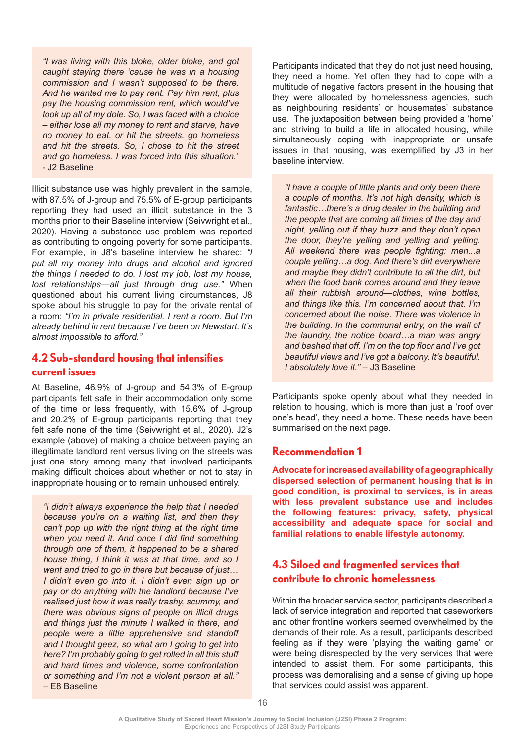*"I was living with this bloke, older bloke, and got caught staying there 'cause he was in a housing commission and I wasn't supposed to be there. And he wanted me to pay rent. Pay him rent, plus pay the housing commission rent, which would've took up all of my dole. So, I was faced with a choice – either lose all my money to rent and starve, have no money to eat, or hit the streets, go homeless and hit the streets. So, I chose to hit the street and go homeless. I was forced into this situation."*  - J2 Baseline

Illicit substance use was highly prevalent in the sample, with 87.5% of J-group and 75.5% of E-group participants reporting they had used an illicit substance in the 3 months prior to their Baseline interview (Seivwright et al., 2020). Having a substance use problem was reported as contributing to ongoing poverty for some participants. For example, in J8's baseline interview he shared: *"I put all my money into drugs and alcohol and ignored the things I needed to do. I lost my job, lost my house, lost relationships—all just through drug use."* When questioned about his current living circumstances, J8 spoke about his struggle to pay for the private rental of a room: *"I'm in private residential. I rent a room. But I'm already behind in rent because I've been on Newstart. It's almost impossible to afford."*

#### **4.2 Sub-standard housing that intensifies**

#### **current issues**

At Baseline, 46.9% of J-group and 54.3% of E-group participants felt safe in their accommodation only some of the time or less frequently, with 15.6% of J-group and 20.2% of E-group participants reporting that they felt safe none of the time (Seivwright et al., 2020). J2's example (above) of making a choice between paying an illegitimate landlord rent versus living on the streets was just one story among many that involved participants making difficult choices about whether or not to stay in inappropriate housing or to remain unhoused entirely.

*"I didn't always experience the help that I needed because you're on a waiting list, and then they can't pop up with the right thing at the right time when you need it. And once I did find something through one of them, it happened to be a shared house thing, I think it was at that time, and so I went and tried to go in there but because of just… I didn't even go into it. I didn't even sign up or pay or do anything with the landlord because I've realised just how it was really trashy, scummy, and there was obvious signs of people on illicit drugs and things just the minute I walked in there, and people were a little apprehensive and standoff and I thought geez, so what am I going to get into here? I'm probably going to get rolled in all this stuff and hard times and violence, some confrontation or something and I'm not a violent person at all."* – E8 Baseline

Participants indicated that they do not just need housing, they need a home. Yet often they had to cope with a multitude of negative factors present in the housing that they were allocated by homelessness agencies, such as neighbouring residents' or housemates' substance use. The juxtaposition between being provided a 'home' and striving to build a life in allocated housing, while simultaneously coping with inappropriate or unsafe issues in that housing, was exemplified by J3 in her baseline interview.

*"I have a couple of little plants and only been there a couple of months. It's not high density, which is fantastic…there's a drug dealer in the building and the people that are coming all times of the day and night, yelling out if they buzz and they don't open the door, they're yelling and yelling and yelling. All weekend there was people fighting: men...a couple yelling…a dog. And there's dirt everywhere and maybe they didn't contribute to all the dirt, but when the food bank comes around and they leave all their rubbish around—clothes, wine bottles, and things like this. I'm concerned about that. I'm concerned about the noise. There was violence in the building. In the communal entry, on the wall of the laundry, the notice board…a man was angry and bashed that off. I'm on the top floor and I've got beautiful views and I've got a balcony. It's beautiful. I absolutely love it."* – J3 Baseline

Participants spoke openly about what they needed in relation to housing, which is more than just a 'roof over one's head', they need a home. These needs have been summarised on the next page.

#### **Recommendation 1**

**Advocate for increased availability of a geographically dispersed selection of permanent housing that is in good condition, is proximal to services, is in areas with less prevalent substance use and includes the following features: privacy, safety, physical accessibility and adequate space for social and familial relations to enable lifestyle autonomy.** 

#### **4.3 Siloed and fragmented services that contribute to chronic homelessness**

Within the broader service sector, participants described a lack of service integration and reported that caseworkers and other frontline workers seemed overwhelmed by the demands of their role. As a result, participants described feeling as if they were 'playing the waiting game' or were being disrespected by the very services that were intended to assist them. For some participants, this process was demoralising and a sense of giving up hope that services could assist was apparent.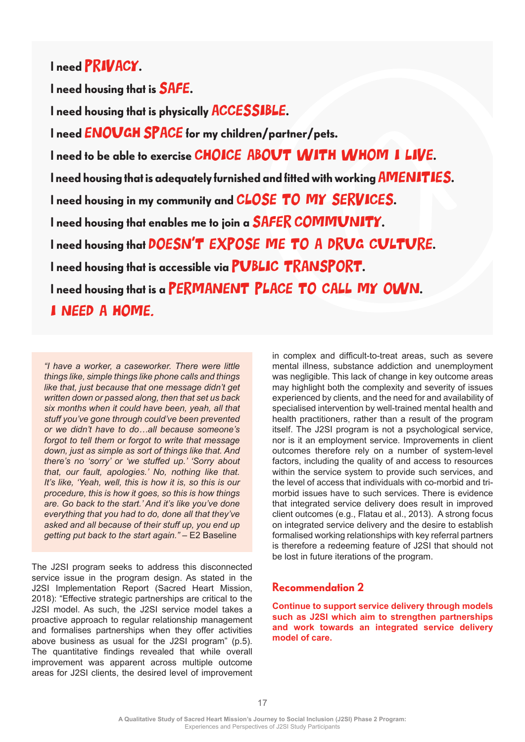#### **I** need **PRIVACY**.

**I** need housing that is **SAFE.** 

**I** need housing that is physically **ACCESSIBLE**.

**I** need **ENOUGH SPACE** for my children/partner/pets. **I** need to be able to exercise CHOICE ABOUT WITH WHOM I LIVE. **I** need housing that is adequately furnished and fitted with working **AMENITIES**. **I** need housing in my community and **CLOSE TO MY SERVICES. I** need housing that enables me to join a **SAFER COMMUNITY**. **Ineed housing that DOESN'T EXPOSE ME TO A DRUG CULTURE. I** need housing that is accessible via **PUBLIC TRANSPORT. I** need housing that is a **PERMANENT PLACE TO CALL MY OWN.** I need a home.

*"I have a worker, a caseworker. There were little things like, simple things like phone calls and things like that, just because that one message didn't get written down or passed along, then that set us back six months when it could have been, yeah, all that stuff you've gone through could've been prevented or we didn't have to do…all because someone's forgot to tell them or forgot to write that message down, just as simple as sort of things like that. And there's no 'sorry' or 'we stuffed up.' 'Sorry about that, our fault, apologies.' No, nothing like that. It's like, 'Yeah, well, this is how it is, so this is our procedure, this is how it goes, so this is how things are. Go back to the start.' And it's like you've done everything that you had to do, done all that they've asked and all because of their stuff up, you end up getting put back to the start again."* – E2 Baseline

The J2SI program seeks to address this disconnected service issue in the program design. As stated in the J2SI Implementation Report (Sacred Heart Mission, 2018): "Effective strategic partnerships are critical to the J2SI model. As such, the J2SI service model takes a proactive approach to regular relationship management and formalises partnerships when they offer activities above business as usual for the J2SI program" (p.5). The quantitative findings revealed that while overall improvement was apparent across multiple outcome areas for J2SI clients, the desired level of improvement in complex and difficult-to-treat areas, such as severe mental illness, substance addiction and unemployment was negligible. This lack of change in key outcome areas may highlight both the complexity and severity of issues experienced by clients, and the need for and availability of specialised intervention by well-trained mental health and health practitioners, rather than a result of the program itself. The J2SI program is not a psychological service, nor is it an employment service. Improvements in client outcomes therefore rely on a number of system-level factors, including the quality of and access to resources within the service system to provide such services, and the level of access that individuals with co-morbid and trimorbid issues have to such services. There is evidence that integrated service delivery does result in improved client outcomes (e.g., Flatau et al., 2013). A strong focus on integrated service delivery and the desire to establish formalised working relationships with key referral partners is therefore a redeeming feature of J2SI that should not be lost in future iterations of the program.

#### **Recommendation 2**

**Continue to support service delivery through models such as J2SI which aim to strengthen partnerships and work towards an integrated service delivery model of care.**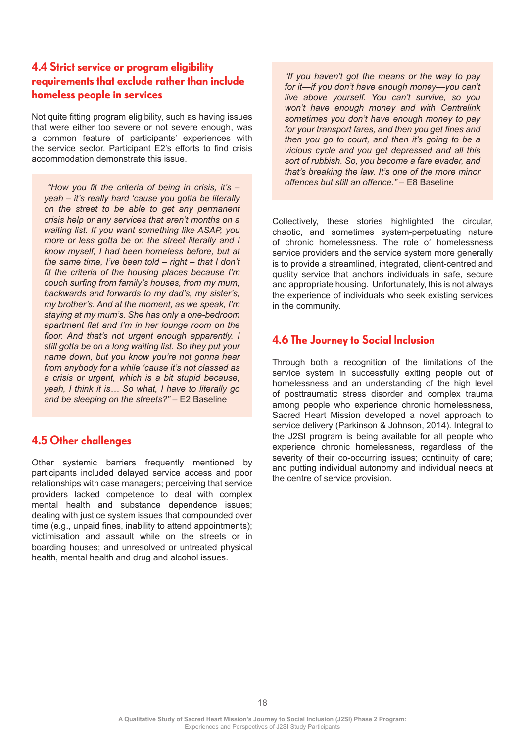#### **4.4 Strict service or program eligibility requirements that exclude rather than include homeless people in services**

Not quite fitting program eligibility, such as having issues that were either too severe or not severe enough, was a common feature of participants' experiences with the service sector. Participant E2's efforts to find crisis accommodation demonstrate this issue.

 *"How you fit the criteria of being in crisis, it's – yeah – it's really hard 'cause you gotta be literally on the street to be able to get any permanent crisis help or any services that aren't months on a waiting list. If you want something like ASAP, you more or less gotta be on the street literally and I know myself, I had been homeless before, but at the same time, I've been told – right – that I don't fit the criteria of the housing places because I'm couch surfing from family's houses, from my mum, backwards and forwards to my dad's, my sister's, my brother's. And at the moment, as we speak, I'm staying at my mum's. She has only a one-bedroom apartment flat and I'm in her lounge room on the floor. And that's not urgent enough apparently. I still gotta be on a long waiting list. So they put your name down, but you know you're not gonna hear from anybody for a while 'cause it's not classed as a crisis or urgent, which is a bit stupid because, yeah, I think it is… So what, I have to literally go and be sleeping on the streets?"* – E2 Baseline

#### **4.5 Other challenges**

Other systemic barriers frequently mentioned by participants included delayed service access and poor relationships with case managers; perceiving that service providers lacked competence to deal with complex mental health and substance dependence issues; dealing with justice system issues that compounded over time (e.g., unpaid fines, inability to attend appointments); victimisation and assault while on the streets or in boarding houses; and unresolved or untreated physical health, mental health and drug and alcohol issues.

*"If you haven't got the means or the way to pay for it—if you don't have enough money—you can't live above yourself. You can't survive, so you won't have enough money and with Centrelink sometimes you don't have enough money to pay for your transport fares, and then you get fines and then you go to court, and then it's going to be a vicious cycle and you get depressed and all this sort of rubbish. So, you become a fare evader, and that's breaking the law. It's one of the more minor offences but still an offence."* – E8 Baseline

Collectively, these stories highlighted the circular, chaotic, and sometimes system-perpetuating nature of chronic homelessness. The role of homelessness service providers and the service system more generally is to provide a streamlined, integrated, client-centred and quality service that anchors individuals in safe, secure and appropriate housing. Unfortunately, this is not always the experience of individuals who seek existing services in the community.

#### **4.6 The Journey to Social Inclusion**

Through both a recognition of the limitations of the service system in successfully exiting people out of homelessness and an understanding of the high level of posttraumatic stress disorder and complex trauma among people who experience chronic homelessness, Sacred Heart Mission developed a novel approach to service delivery (Parkinson & Johnson, 2014). Integral to the J2SI program is being available for all people who experience chronic homelessness, regardless of the severity of their co-occurring issues; continuity of care; and putting individual autonomy and individual needs at the centre of service provision.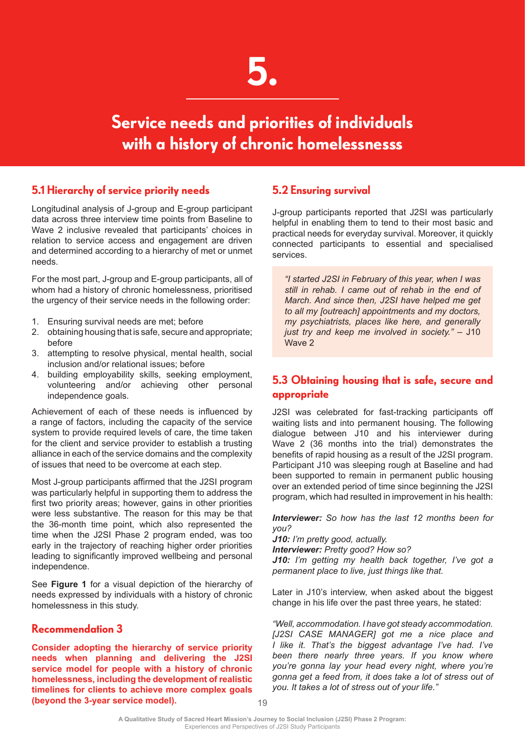

## **Service needs and priorities of individuals with a history of chronic homelessnesss**

#### **5.1 Hierarchy of service priority needs**

Longitudinal analysis of J-group and E-group participant data across three interview time points from Baseline to Wave 2 inclusive revealed that participants' choices in relation to service access and engagement are driven and determined according to a hierarchy of met or unmet needs.

For the most part, J-group and E-group participants, all of whom had a history of chronic homelessness, prioritised the urgency of their service needs in the following order:

- 1. Ensuring survival needs are met; before
- 2. obtaining housing that is safe, secure and appropriate; before
- 3. attempting to resolve physical, mental health, social inclusion and/or relational issues; before
- 4. building employability skills, seeking employment, volunteering and/or achieving other personal independence goals.

Achievement of each of these needs is influenced by a range of factors, including the capacity of the service system to provide required levels of care, the time taken for the client and service provider to establish a trusting alliance in each of the service domains and the complexity of issues that need to be overcome at each step.

Most J-group participants affirmed that the J2SI program was particularly helpful in supporting them to address the first two priority areas; however, gains in other priorities were less substantive. The reason for this may be that the 36-month time point, which also represented the time when the J2SI Phase 2 program ended, was too early in the trajectory of reaching higher order priorities leading to significantly improved wellbeing and personal independence.

See **Figure 1** for a visual depiction of the hierarchy of needs expressed by individuals with a history of chronic homelessness in this study.

#### **Recommendation 3**

**Consider adopting the hierarchy of service priority needs when planning and delivering the J2SI service model for people with a history of chronic homelessness, including the development of realistic timelines for clients to achieve more complex goals (beyond the 3-year service model).**

#### **5.2 Ensuring survival**

J-group participants reported that J2SI was particularly helpful in enabling them to tend to their most basic and practical needs for everyday survival. Moreover, it quickly connected participants to essential and specialised services.

*"I started J2SI in February of this year, when I was still in rehab. I came out of rehab in the end of March. And since then, J2SI have helped me get to all my [outreach] appointments and my doctors, my psychiatrists, places like here, and generally just try and keep me involved in society."* – J10 Wave 2

#### **5.3 Obtaining housing that is safe, secure and appropriate**

J2SI was celebrated for fast-tracking participants off waiting lists and into permanent housing. The following dialogue between J10 and his interviewer during Wave 2 (36 months into the trial) demonstrates the benefits of rapid housing as a result of the J2SI program. Participant J10 was sleeping rough at Baseline and had been supported to remain in permanent public housing over an extended period of time since beginning the J2SI program, which had resulted in improvement in his health:

*Interviewer: So how has the last 12 months been for you?*

*J10: I'm pretty good, actually.*

*Interviewer: Pretty good? How so?*

*J10: I'm getting my health back together, I've got a permanent place to live, just things like that.*

Later in J10's interview, when asked about the biggest change in his life over the past three years, he stated:

*"Well, accommodation. I have got steady accommodation. [J2SI CASE MANAGER] got me a nice place and I like it. That's the biggest advantage I've had. I've been there nearly three years. If you know where you're gonna lay your head every night, where you're gonna get a feed from, it does take a lot of stress out of you. It takes a lot of stress out of your life."*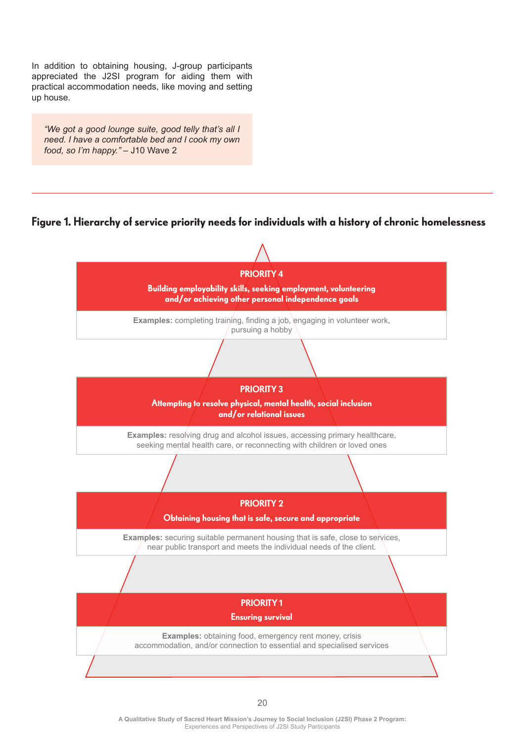In addition to obtaining housing, J-group participants appreciated the J2SI program for aiding them with practical accommodation needs, like moving and setting up house.

*"We got a good lounge suite, good telly that's all I need. I have a comfortable bed and I cook my own food, so I'm happy."* – J10 Wave 2

#### **Figure 1. Hierarchy of service priority needs for individuals with a history of chronic homelessness**

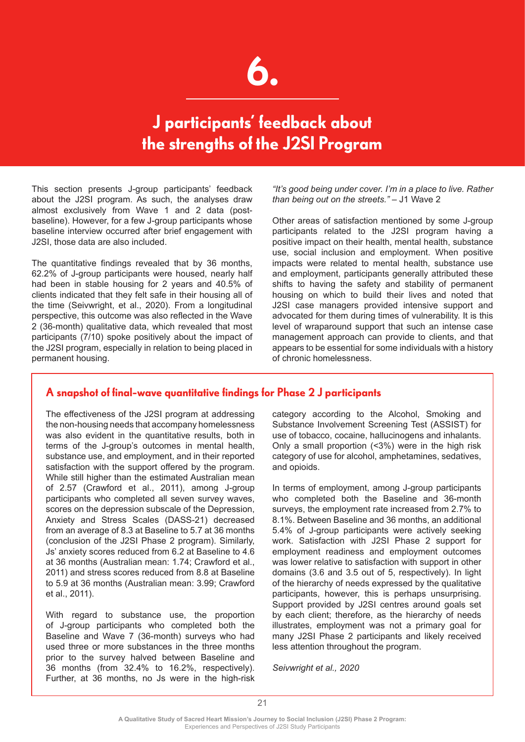## **J participants' feedback about the strengths of the J2SI Program**

This section presents J-group participants' feedback about the J2SI program. As such, the analyses draw almost exclusively from Wave 1 and 2 data (postbaseline). However, for a few J-group participants whose baseline interview occurred after brief engagement with J2SI, those data are also included.

The quantitative findings revealed that by 36 months, 62.2% of J-group participants were housed, nearly half had been in stable housing for 2 years and 40.5% of clients indicated that they felt safe in their housing all of the time (Seivwright, et al., 2020). From a longitudinal perspective, this outcome was also reflected in the Wave 2 (36-month) qualitative data, which revealed that most participants (7/10) spoke positively about the impact of the J2SI program, especially in relation to being placed in permanent housing.

*"It's good being under cover. I'm in a place to live. Rather than being out on the streets."* – J1 Wave 2

Other areas of satisfaction mentioned by some J-group participants related to the J2SI program having a positive impact on their health, mental health, substance use, social inclusion and employment. When positive impacts were related to mental health, substance use and employment, participants generally attributed these shifts to having the safety and stability of permanent housing on which to build their lives and noted that J2SI case managers provided intensive support and advocated for them during times of vulnerability. It is this level of wraparound support that such an intense case management approach can provide to clients, and that appears to be essential for some individuals with a history of chronic homelessness.

#### **A snapshot of final-wave quantitative findings for Phase 2 J participants**

The effectiveness of the J2SI program at addressing the non-housing needs that accompany homelessness was also evident in the quantitative results, both in terms of the J-group's outcomes in mental health, substance use, and employment, and in their reported satisfaction with the support offered by the program. While still higher than the estimated Australian mean of 2.57 (Crawford et al., 2011), among J-group participants who completed all seven survey waves, scores on the depression subscale of the Depression, Anxiety and Stress Scales (DASS-21) decreased from an average of 8.3 at Baseline to 5.7 at 36 months (conclusion of the J2SI Phase 2 program). Similarly, Js' anxiety scores reduced from 6.2 at Baseline to 4.6 at 36 months (Australian mean: 1.74; Crawford et al., 2011) and stress scores reduced from 8.8 at Baseline to 5.9 at 36 months (Australian mean: 3.99; Crawford et al., 2011).

With regard to substance use, the proportion of J-group participants who completed both the Baseline and Wave 7 (36-month) surveys who had used three or more substances in the three months prior to the survey halved between Baseline and 36 months (from 32.4% to 16.2%, respectively). Further, at 36 months, no Js were in the high-risk category according to the Alcohol, Smoking and Substance Involvement Screening Test (ASSIST) for use of tobacco, cocaine, hallucinogens and inhalants. Only a small proportion (<3%) were in the high risk category of use for alcohol, amphetamines, sedatives, and opioids.

In terms of employment, among J-group participants who completed both the Baseline and 36-month surveys, the employment rate increased from 2.7% to 8.1%. Between Baseline and 36 months, an additional 5.4% of J-group participants were actively seeking work. Satisfaction with J2SI Phase 2 support for employment readiness and employment outcomes was lower relative to satisfaction with support in other domains (3.6 and 3.5 out of 5, respectively). In light of the hierarchy of needs expressed by the qualitative participants, however, this is perhaps unsurprising. Support provided by J2SI centres around goals set by each client; therefore, as the hierarchy of needs illustrates, employment was not a primary goal for many J2SI Phase 2 participants and likely received less attention throughout the program.

*Seivwright et al., 2020*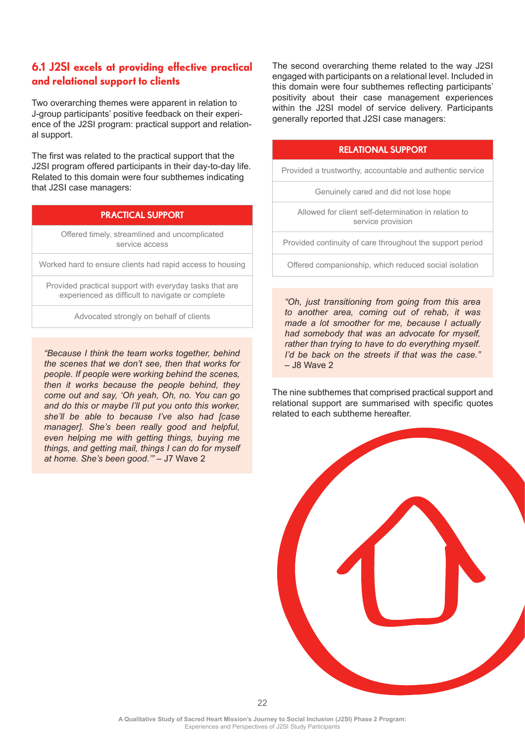#### **6.1 J2SI excels at providing effective practical and relational support to clients**

Two overarching themes were apparent in relation to J-group participants' positive feedback on their experience of the J2SI program: practical support and relational support.

The first was related to the practical support that the J2SI program offered participants in their day-to-day life. Related to this domain were four subthemes indicating that J2SI case managers:

#### **PRACTICAL SUPPORT**

Offered timely, streamlined and uncomplicated service access

Worked hard to ensure clients had rapid access to housing

Provided practical support with everyday tasks that are experienced as difficult to navigate or complete

Advocated strongly on behalf of clients

*"Because I think the team works together, behind the scenes that we don't see, then that works for people. If people were working behind the scenes, then it works because the people behind, they come out and say, 'Oh yeah, Oh, no. You can go and do this or maybe I'll put you onto this worker, she'll be able to because I've also had [case manager]. She's been really good and helpful, even helping me with getting things, buying me things, and getting mail, things I can do for myself at home. She's been good.'"* – J7 Wave 2

The second overarching theme related to the way J2SI engaged with participants on a relational level. Included in this domain were four subthemes reflecting participants' positivity about their case management experiences within the J2SI model of service delivery. Participants generally reported that J2SI case managers:

#### **RELATIONAL SUPPORT**

Provided a trustworthy, accountable and authentic service

Genuinely cared and did not lose hope

Allowed for client self-determination in relation to service provision

Provided continuity of care throughout the support period

Offered companionship, which reduced social isolation

*"Oh, just transitioning from going from this area to another area, coming out of rehab, it was made a lot smoother for me, because I actually had somebody that was an advocate for myself, rather than trying to have to do everything myself. I'd be back on the streets if that was the case."*   $-$  JR Wave 2

The nine subthemes that comprised practical support and relational support are summarised with specific quotes related to each subtheme hereafter.

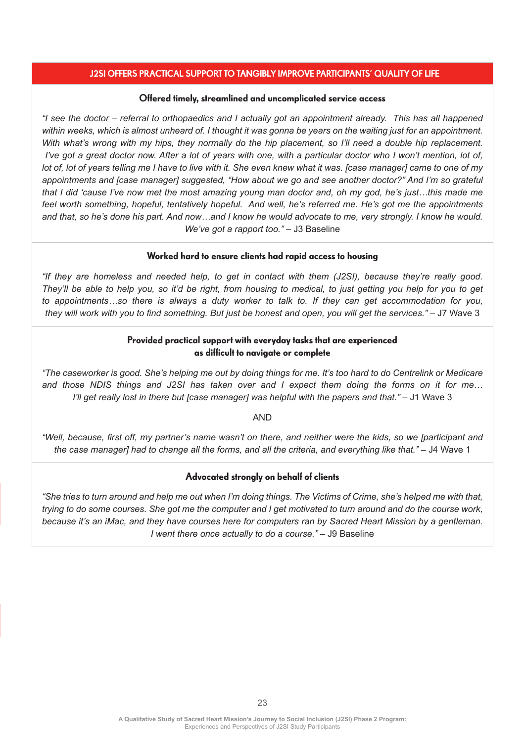#### **J2SI OFFERS PRACTICAL SUPPORT TO TANGIBLY IMPROVE PARTICIPANTS' QUALITY OF LIFE**

#### **Offered timely, streamlined and uncomplicated service access**

*"I see the doctor – referral to orthopaedics and I actually got an appointment already. This has all happened within weeks, which is almost unheard of. I thought it was gonna be years on the waiting just for an appointment. With what's wrong with my hips, they normally do the hip placement, so I'll need a double hip replacement. I've got a great doctor now. After a lot of years with one, with a particular doctor who I won't mention, lot of, lot of, lot of years telling me I have to live with it. She even knew what it was. [case manager] came to one of my appointments and [case manager] suggested, "How about we go and see another doctor?" And I'm so grateful that I did 'cause I've now met the most amazing young man doctor and, oh my god, he's just…this made me feel worth something, hopeful, tentatively hopeful. And well, he's referred me. He's got me the appointments and that, so he's done his part. And now…and I know he would advocate to me, very strongly. I know he would. We've got a rapport too."* – J3 Baseline

#### **Worked hard to ensure clients had rapid access to housing**

*"If they are homeless and needed help, to get in contact with them (J2SI), because they're really good. They'll be able to help you, so it'd be right, from housing to medical, to just getting you help for you to get to appointments…so there is always a duty worker to talk to. If they can get accommodation for you, they will work with you to find something. But just be honest and open, you will get the services."* – J7 Wave 3

#### **Provided practical support with everyday tasks that are experienced as difficult to navigate or complete**

*"The caseworker is good. She's helping me out by doing things for me. It's too hard to do Centrelink or Medicare and those NDIS things and J2SI has taken over and I expect them doing the forms on it for me… I'll get really lost in there but [case manager] was helpful with the papers and that."* – J1 Wave 3

#### AND

*"Well, because, first off, my partner's name wasn't on there, and neither were the kids, so we [participant and*  the case manager] had to change all the forms, and all the criteria, and everything like that." – J4 Wave 1

#### **Advocated strongly on behalf of clients**

*"She tries to turn around and help me out when I'm doing things. The Victims of Crime, she's helped me with that, trying to do some courses. She got me the computer and I get motivated to turn around and do the course work, because it's an iMac, and they have courses here for computers ran by Sacred Heart Mission by a gentleman. I* went there once actually to do a course." – J9 Baseline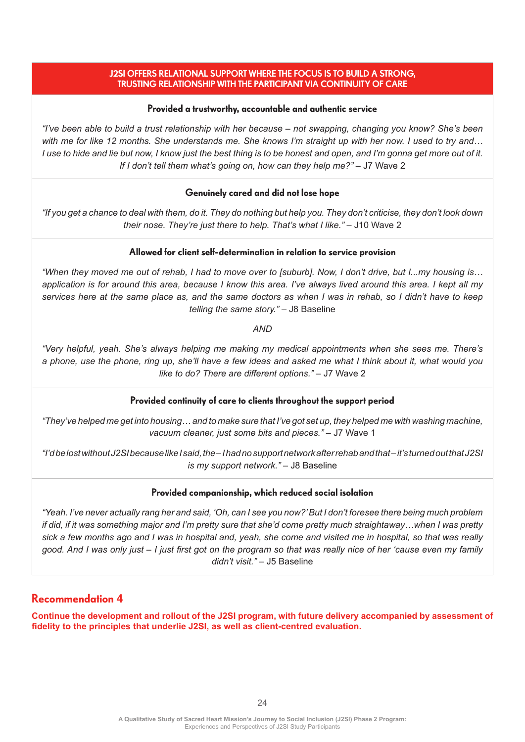#### **J2SI OFFERS RELATIONAL SUPPORT WHERE THE FOCUS IS TO BUILD A STRONG, TRUSTING RELATIONSHIP WITH THE PARTICIPANT VIA CONTINUITY OF CARE**

#### **Provided a trustworthy, accountable and authentic service**

*"I've been able to build a trust relationship with her because – not swapping, changing you know? She's been with me for like 12 months. She understands me. She knows I'm straight up with her now. I used to try and… I* use to hide and lie but now, I know just the best thing is to be honest and open, and I'm gonna get more out of it. *If I don't tell them what's going on, how can they help me?"* – J7 Wave 2

#### **Genuinely cared and did not lose hope**

*"If you get a chance to deal with them, do it. They do nothing but help you. They don't criticise, they don't look down their nose. They're just there to help. That's what I like."* – J10 Wave 2

#### **Allowed for client self-determination in relation to service provision**

*"When they moved me out of rehab, I had to move over to [suburb]. Now, I don't drive, but I...my housing is… application is for around this area, because I know this area. I've always lived around this area. I kept all my services here at the same place as, and the same doctors as when I was in rehab, so I didn't have to keep telling the same story."* – J8 Baseline

*AND*

*"Very helpful, yeah. She's always helping me making my medical appointments when she sees me. There's a phone, use the phone, ring up, she'll have a few ideas and asked me what I think about it, what would you like to do? There are different options."* – J7 Wave 2

#### **Provided continuity of care to clients throughout the support period**

*"They've helped me get into housing… and to make sure that I've got set up, they helped me with washing machine, vacuum cleaner, just some bits and pieces."* – J7 Wave 1

*"I'd be lost without J2SI because like I said, the – I had no support network after rehab and that – it's turned out that J2SI is my support network."* – J8 Baseline

#### **Provided companionship, which reduced social isolation**

*"Yeah. I've never actually rang her and said, 'Oh, can I see you now?' But I don't foresee there being much problem if did, if it was something major and I'm pretty sure that she'd come pretty much straightaway…when I was pretty sick a few months ago and I was in hospital and, yeah, she come and visited me in hospital, so that was really good. And I was only just – I just first got on the program so that was really nice of her 'cause even my family didn't visit."* – J5 Baseline

#### **Recommendation 4**

**Continue the development and rollout of the J2SI program, with future delivery accompanied by assessment of fidelity to the principles that underlie J2SI, as well as client-centred evaluation.**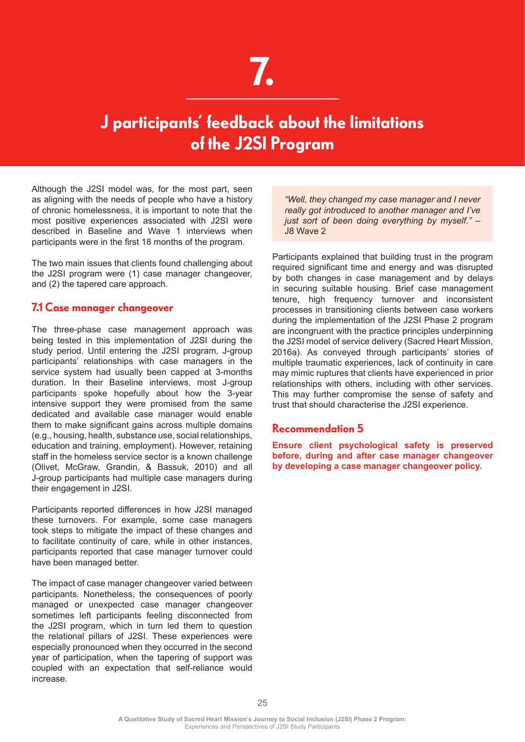**7.**

## **J participants' feedback about the limitations of the J2SI Program**

Although the J2SI model was, for the most part, seen as aligning with the needs of people who have a history of chronic homelessness, it is important to note that the most positive experiences associated with J2SI were described in Baseline and Wave 1 interviews when participants were in the first 18 months of the program.

The two main issues that clients found challenging about the J2SI program were (1) case manager changeover, and (2) the tapered care approach.

#### **7.1 Case manager changeover**

The three-phase case management approach was being tested in this implementation of J2SI during the study period. Until entering the J2SI program, J-group participants' relationships with case managers in the service system had usually been capped at 3-months duration. In their Baseline interviews, most J-group participants spoke hopefully about how the 3-year intensive support they were promised from the same dedicated and available case manager would enable them to make significant gains across multiple domains (e.g., housing, health, substance use, social relationships, education and training, employment). However, retaining staff in the homeless service sector is a known challenge (Olivet, McGraw, Grandin, & Bassuk, 2010) and all J-group participants had multiple case managers during their engagement in J2SI.

Participants reported differences in how J2SI managed these turnovers. For example, some case managers took steps to mitigate the impact of these changes and to facilitate continuity of care, while in other instances, participants reported that case manager turnover could have been managed better.

The impact of case manager changeover varied between participants. Nonetheless, the consequences of poorly managed or unexpected case manager changeover sometimes left participants feeling disconnected from the J2SI program, which in turn led them to question the relational pillars of J2SI. These experiences were especially pronounced when they occurred in the second year of participation, when the tapering of support was coupled with an expectation that self-reliance would increase.

*"Well, they changed my case manager and I never really got introduced to another manager and I've just sort of been doing everything by myself."* – J8 Wave 2

Participants explained that building trust in the program required significant time and energy and was disrupted by both changes in case management and by delays in securing suitable housing. Brief case management tenure, high frequency turnover and inconsistent processes in transitioning clients between case workers during the implementation of the J2SI Phase 2 program are incongruent with the practice principles underpinning the J2SI model of service delivery (Sacred Heart Mission, 2016a). As conveyed through participants' stories of multiple traumatic experiences, lack of continuity in care may mimic ruptures that clients have experienced in prior relationships with others, including with other services. This may further compromise the sense of safety and trust that should characterise the J2SI experience.

#### **Recommendation 5**

**Ensure client psychological safety is preserved before, during and after case manager changeover by developing a case manager changeover policy.**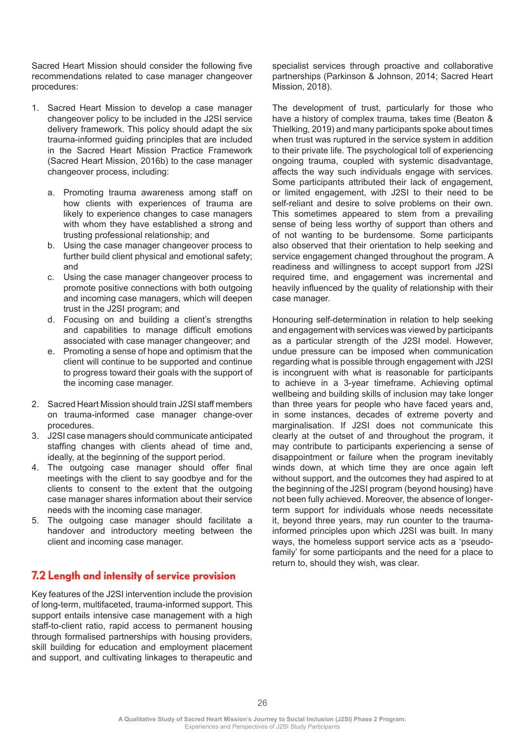Sacred Heart Mission should consider the following five recommendations related to case manager changeover procedures:

- 1. Sacred Heart Mission to develop a case manager changeover policy to be included in the J2SI service delivery framework. This policy should adapt the six trauma-informed guiding principles that are included in the Sacred Heart Mission Practice Framework (Sacred Heart Mission, 2016b) to the case manager changeover process, including:
	- a. Promoting trauma awareness among staff on how clients with experiences of trauma are likely to experience changes to case managers with whom they have established a strong and trusting professional relationship; and
	- b. Using the case manager changeover process to further build client physical and emotional safety; and
	- c. Using the case manager changeover process to promote positive connections with both outgoing and incoming case managers, which will deepen trust in the J2SI program; and
	- d. Focusing on and building a client's strengths and capabilities to manage difficult emotions associated with case manager changeover; and
	- e. Promoting a sense of hope and optimism that the client will continue to be supported and continue to progress toward their goals with the support of the incoming case manager.
- 2. Sacred Heart Mission should train J2SI staff members on trauma-informed case manager change-over procedures.
- 3. J2SI case managers should communicate anticipated staffing changes with clients ahead of time and, ideally, at the beginning of the support period.
- 4. The outgoing case manager should offer final meetings with the client to say goodbye and for the clients to consent to the extent that the outgoing case manager shares information about their service needs with the incoming case manager.
- 5. The outgoing case manager should facilitate a handover and introductory meeting between the client and incoming case manager.

#### **7.2 Length and intensity of service provision**

Key features of the J2SI intervention include the provision of long-term, multifaceted, trauma-informed support. This support entails intensive case management with a high staff-to-client ratio, rapid access to permanent housing through formalised partnerships with housing providers, skill building for education and employment placement and support, and cultivating linkages to therapeutic and specialist services through proactive and collaborative partnerships (Parkinson & Johnson, 2014; Sacred Heart Mission, 2018).

The development of trust, particularly for those who have a history of complex trauma, takes time (Beaton & Thielking, 2019) and many participants spoke about times when trust was ruptured in the service system in addition to their private life. The psychological toll of experiencing ongoing trauma, coupled with systemic disadvantage, affects the way such individuals engage with services. Some participants attributed their lack of engagement, or limited engagement, with J2SI to their need to be self-reliant and desire to solve problems on their own. This sometimes appeared to stem from a prevailing sense of being less worthy of support than others and of not wanting to be burdensome. Some participants also observed that their orientation to help seeking and service engagement changed throughout the program. A readiness and willingness to accept support from J2SI required time, and engagement was incremental and heavily influenced by the quality of relationship with their case manager.

Honouring self-determination in relation to help seeking and engagement with services was viewed by participants as a particular strength of the J2SI model. However, undue pressure can be imposed when communication regarding what is possible through engagement with J2SI is incongruent with what is reasonable for participants to achieve in a 3-year timeframe. Achieving optimal wellbeing and building skills of inclusion may take longer than three years for people who have faced years and, in some instances, decades of extreme poverty and marginalisation. If J2SI does not communicate this clearly at the outset of and throughout the program, it may contribute to participants experiencing a sense of disappointment or failure when the program inevitably winds down, at which time they are once again left without support, and the outcomes they had aspired to at the beginning of the J2SI program (beyond housing) have not been fully achieved. Moreover, the absence of longerterm support for individuals whose needs necessitate it, beyond three years, may run counter to the traumainformed principles upon which J2SI was built. In many ways, the homeless support service acts as a 'pseudofamily' for some participants and the need for a place to return to, should they wish, was clear.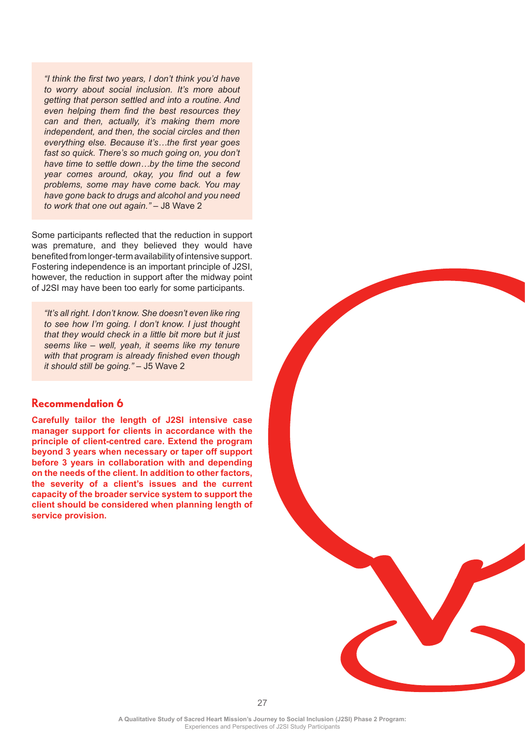*"I think the first two years, I don't think you'd have to worry about social inclusion. It's more about getting that person settled and into a routine. And even helping them find the best resources they can and then, actually, it's making them more independent, and then, the social circles and then everything else. Because it's…the first year goes fast so quick. There's so much going on, you don't have time to settle down…by the time the second year comes around, okay, you find out a few problems, some may have come back. You may have gone back to drugs and alcohol and you need to work that one out again."* – J8 Wave 2

Some participants reflected that the reduction in support was premature, and they believed they would have benefited from longer-term availability of intensive support. Fostering independence is an important principle of J2SI, however, the reduction in support after the midway point of J2SI may have been too early for some participants.

*"It's all right. I don't know. She doesn't even like ring to see how I'm going. I don't know. I just thought that they would check in a little bit more but it just seems like – well, yeah, it seems like my tenure with that program is already finished even though it should still be going."* – J5 Wave 2

#### **Recommendation 6**

**Carefully tailor the length of J2SI intensive case manager support for clients in accordance with the principle of client-centred care. Extend the program beyond 3 years when necessary or taper off support before 3 years in collaboration with and depending on the needs of the client. In addition to other factors, the severity of a client's issues and the current capacity of the broader service system to support the client should be considered when planning length of service provision.**

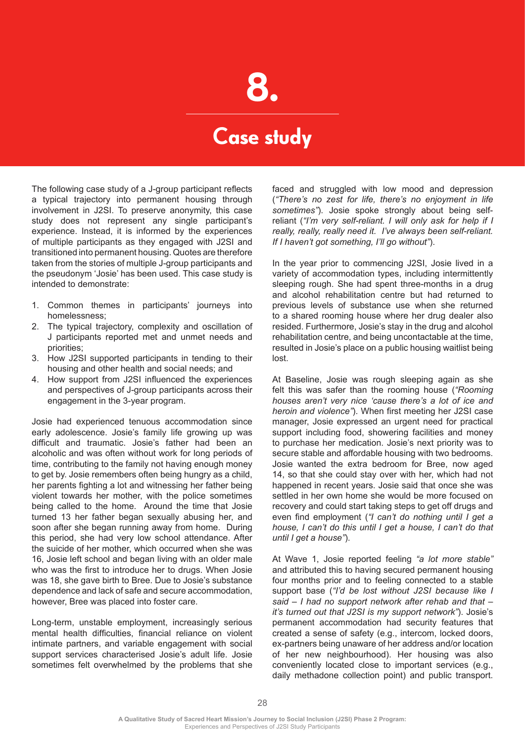# **8.**

## **Case study**

The following case study of a J-group participant reflects a typical trajectory into permanent housing through involvement in J2SI. To preserve anonymity, this case study does not represent any single participant's experience. Instead, it is informed by the experiences of multiple participants as they engaged with J2SI and transitioned into permanent housing. Quotes are therefore taken from the stories of multiple J-group participants and the pseudonym 'Josie' has been used. This case study is intended to demonstrate:

- 1. Common themes in participants' journeys into homelessness;
- 2. The typical trajectory, complexity and oscillation of J participants reported met and unmet needs and priorities;
- 3. How J2SI supported participants in tending to their housing and other health and social needs; and
- 4. How support from J2SI influenced the experiences and perspectives of J-group participants across their engagement in the 3-year program.

Josie had experienced tenuous accommodation since early adolescence. Josie's family life growing up was difficult and traumatic. Josie's father had been an alcoholic and was often without work for long periods of time, contributing to the family not having enough money to get by. Josie remembers often being hungry as a child, her parents fighting a lot and witnessing her father being violent towards her mother, with the police sometimes being called to the home. Around the time that Josie turned 13 her father began sexually abusing her, and soon after she began running away from home. During this period, she had very low school attendance. After the suicide of her mother, which occurred when she was 16, Josie left school and began living with an older male who was the first to introduce her to drugs. When Josie was 18, she gave birth to Bree. Due to Josie's substance dependence and lack of safe and secure accommodation, however, Bree was placed into foster care.

Long-term, unstable employment, increasingly serious mental health difficulties, financial reliance on violent intimate partners, and variable engagement with social support services characterised Josie's adult life. Josie sometimes felt overwhelmed by the problems that she faced and struggled with low mood and depression (*"There's no zest for life, there's no enjoyment in life sometimes"*). Josie spoke strongly about being selfreliant (*"I'm very self-reliant. I will only ask for help if I really, really, really need it. I've always been self-reliant. If I haven't got something, I'll go without"*).

In the year prior to commencing J2SI, Josie lived in a variety of accommodation types, including intermittently sleeping rough. She had spent three-months in a drug and alcohol rehabilitation centre but had returned to previous levels of substance use when she returned to a shared rooming house where her drug dealer also resided. Furthermore, Josie's stay in the drug and alcohol rehabilitation centre, and being uncontactable at the time, resulted in Josie's place on a public housing waitlist being lost.

At Baseline, Josie was rough sleeping again as she felt this was safer than the rooming house (*"Rooming houses aren't very nice 'cause there's a lot of ice and heroin and violence"*). When first meeting her J2SI case manager, Josie expressed an urgent need for practical support including food, showering facilities and money to purchase her medication. Josie's next priority was to secure stable and affordable housing with two bedrooms. Josie wanted the extra bedroom for Bree, now aged 14, so that she could stay over with her, which had not happened in recent years. Josie said that once she was settled in her own home she would be more focused on recovery and could start taking steps to get off drugs and even find employment (*"I can't do nothing until I get a house, I can't do this until I get a house, I can't do that until I get a house"*).

At Wave 1, Josie reported feeling *"a lot more stable"* and attributed this to having secured permanent housing four months prior and to feeling connected to a stable support base (*"I'd be lost without J2SI because like I said – I had no support network after rehab and that – it's turned out that J2SI is my support network"*). Josie's permanent accommodation had security features that created a sense of safety (e.g., intercom, locked doors, ex-partners being unaware of her address and/or location of her new neighbourhood). Her housing was also conveniently located close to important services (e.g., daily methadone collection point) and public transport.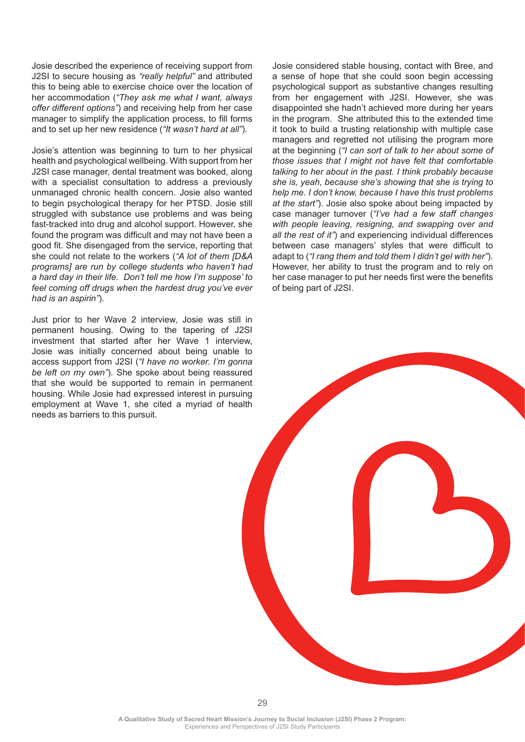Josie described the experience of receiving support from J2SI to secure housing as *"really helpful"* and attributed this to being able to exercise choice over the location of her accommodation (*"They ask me what I want, always offer different options"*) and receiving help from her case manager to simplify the application process, to fill forms and to set up her new residence (*"It wasn't hard at all"*).

Josie's attention was beginning to turn to her physical health and psychological wellbeing. With support from her J2SI case manager, dental treatment was booked, along with a specialist consultation to address a previously unmanaged chronic health concern. Josie also wanted to begin psychological therapy for her PTSD. Josie still struggled with substance use problems and was being fast-tracked into drug and alcohol support. However, she found the program was difficult and may not have been a good fit. She disengaged from the service, reporting that she could not relate to the workers (*"A lot of them [D&A programs] are run by college students who haven't had a hard day in their life. Don't tell me how I'm suppose' to feel coming off drugs when the hardest drug you've ever had is an aspirin"*).

Just prior to her Wave 2 interview, Josie was still in permanent housing. Owing to the tapering of J2SI investment that started after her Wave 1 interview, Josie was initially concerned about being unable to access support from J2SI (*"I have no worker. I'm gonna be left on my own"*). She spoke about being reassured that she would be supported to remain in permanent housing. While Josie had expressed interest in pursuing employment at Wave 1, she cited a myriad of health needs as barriers to this pursuit.

Josie considered stable housing, contact with Bree, and a sense of hope that she could soon begin accessing psychological support as substantive changes resulting from her engagement with J2SI. However, she was disappointed she hadn't achieved more during her years in the program. She attributed this to the extended time it took to build a trusting relationship with multiple case managers and regretted not utilising the program more at the beginning (*"I can sort of talk to her about some of those issues that I might not have felt that comfortable talking to her about in the past. I think probably because she is, yeah, because she's showing that she is trying to help me. I don't know, because I have this trust problems at the start"*). Josie also spoke about being impacted by case manager turnover (*"I've had a few staff changes with people leaving, resigning, and swapping over and all the rest of it"*) and experiencing individual differences between case managers' styles that were difficult to adapt to (*"I rang them and told them I didn't gel with her"*). However, her ability to trust the program and to rely on her case manager to put her needs first were the benefits of being part of J2SI.

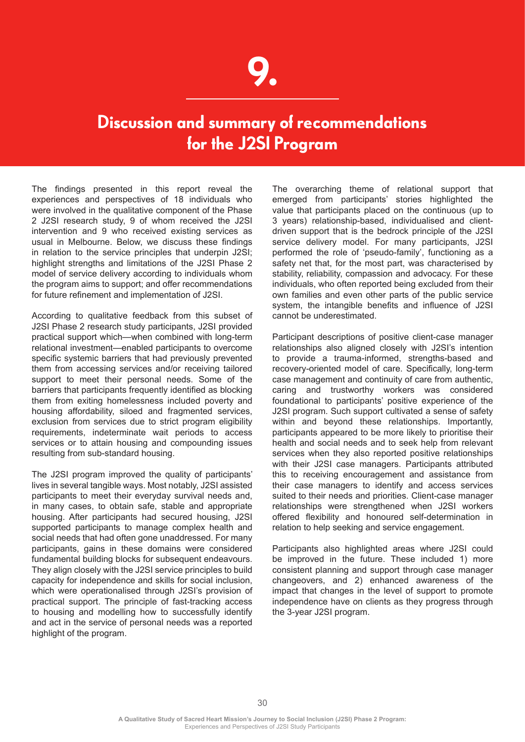**9.**

### **Discussion and summary of recommendations for the J2SI Program**

The findings presented in this report reveal the experiences and perspectives of 18 individuals who were involved in the qualitative component of the Phase 2 J2SI research study, 9 of whom received the J2SI intervention and 9 who received existing services as usual in Melbourne. Below, we discuss these findings in relation to the service principles that underpin J2SI; highlight strengths and limitations of the J2SI Phase 2 model of service delivery according to individuals whom the program aims to support; and offer recommendations for future refinement and implementation of J2SI.

According to qualitative feedback from this subset of J2SI Phase 2 research study participants, J2SI provided practical support which—when combined with long-term relational investment—enabled participants to overcome specific systemic barriers that had previously prevented them from accessing services and/or receiving tailored support to meet their personal needs. Some of the barriers that participants frequently identified as blocking them from exiting homelessness included poverty and housing affordability, siloed and fragmented services, exclusion from services due to strict program eligibility requirements, indeterminate wait periods to access services or to attain housing and compounding issues resulting from sub-standard housing.

The J2SI program improved the quality of participants' lives in several tangible ways. Most notably, J2SI assisted participants to meet their everyday survival needs and, in many cases, to obtain safe, stable and appropriate housing. After participants had secured housing, J2SI supported participants to manage complex health and social needs that had often gone unaddressed. For many participants, gains in these domains were considered fundamental building blocks for subsequent endeavours. They align closely with the J2SI service principles to build capacity for independence and skills for social inclusion, which were operationalised through J2SI's provision of practical support. The principle of fast-tracking access to housing and modelling how to successfully identify and act in the service of personal needs was a reported highlight of the program.

The overarching theme of relational support that emerged from participants' stories highlighted the value that participants placed on the continuous (up to 3 years) relationship-based, individualised and clientdriven support that is the bedrock principle of the J2SI service delivery model. For many participants, J2SI performed the role of 'pseudo-family', functioning as a safety net that, for the most part, was characterised by stability, reliability, compassion and advocacy. For these individuals, who often reported being excluded from their own families and even other parts of the public service system, the intangible benefits and influence of J2SI cannot be underestimated.

Participant descriptions of positive client-case manager relationships also aligned closely with J2SI's intention to provide a trauma-informed, strengths-based and recovery-oriented model of care. Specifically, long-term case management and continuity of care from authentic, caring and trustworthy workers was considered foundational to participants' positive experience of the J2SI program. Such support cultivated a sense of safety within and beyond these relationships. Importantly, participants appeared to be more likely to prioritise their health and social needs and to seek help from relevant services when they also reported positive relationships with their J2SI case managers. Participants attributed this to receiving encouragement and assistance from their case managers to identify and access services suited to their needs and priorities. Client-case manager relationships were strengthened when J2SI workers offered flexibility and honoured self-determination in relation to help seeking and service engagement.

Participants also highlighted areas where J2SI could be improved in the future. These included 1) more consistent planning and support through case manager changeovers, and 2) enhanced awareness of the impact that changes in the level of support to promote independence have on clients as they progress through the 3-year J2SI program.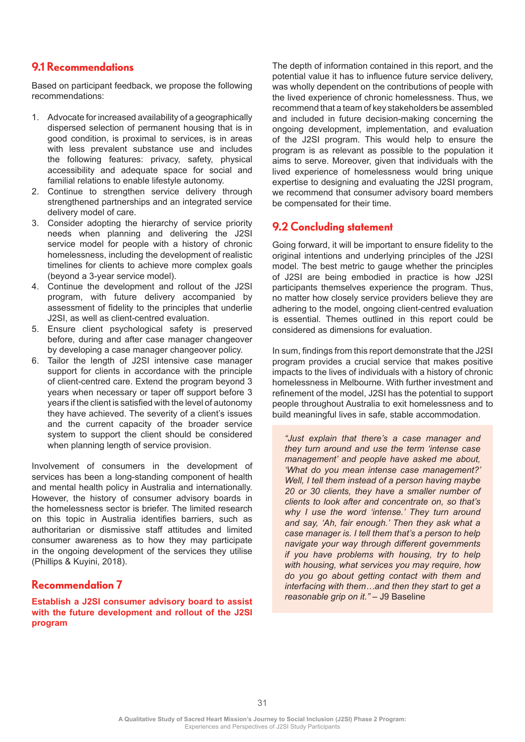#### **9.1 Recommendations**

Based on participant feedback, we propose the following recommendations:

- 1. Advocate for increased availability of a geographically dispersed selection of permanent housing that is in good condition, is proximal to services, is in areas with less prevalent substance use and includes the following features: privacy, safety, physical accessibility and adequate space for social and familial relations to enable lifestyle autonomy.
- 2. Continue to strengthen service delivery through strengthened partnerships and an integrated service delivery model of care.
- 3. Consider adopting the hierarchy of service priority needs when planning and delivering the J2SI service model for people with a history of chronic homelessness, including the development of realistic timelines for clients to achieve more complex goals (beyond a 3-year service model).
- 4. Continue the development and rollout of the J2SI program, with future delivery accompanied by assessment of fidelity to the principles that underlie J2SI, as well as client-centred evaluation.
- 5. Ensure client psychological safety is preserved before, during and after case manager changeover by developing a case manager changeover policy.
- 6. Tailor the length of J2SI intensive case manager support for clients in accordance with the principle of client-centred care. Extend the program beyond 3 years when necessary or taper off support before 3 years if the client is satisfied with the level of autonomy they have achieved. The severity of a client's issues and the current capacity of the broader service system to support the client should be considered when planning length of service provision.

Involvement of consumers in the development of services has been a long-standing component of health and mental health policy in Australia and internationally. However, the history of consumer advisory boards in the homelessness sector is briefer. The limited research on this topic in Australia identifies barriers, such as authoritarian or dismissive staff attitudes and limited consumer awareness as to how they may participate in the ongoing development of the services they utilise (Phillips & Kuyini, 2018).

#### **Recommendation 7**

**Establish a J2SI consumer advisory board to assist with the future development and rollout of the J2SI program**

The depth of information contained in this report, and the potential value it has to influence future service delivery, was wholly dependent on the contributions of people with the lived experience of chronic homelessness. Thus, we recommend that a team of key stakeholders be assembled and included in future decision-making concerning the ongoing development, implementation, and evaluation of the J2SI program. This would help to ensure the program is as relevant as possible to the population it aims to serve. Moreover, given that individuals with the lived experience of homelessness would bring unique expertise to designing and evaluating the J2SI program, we recommend that consumer advisory board members be compensated for their time.

#### **9.2 Concluding statement**

Going forward, it will be important to ensure fidelity to the original intentions and underlying principles of the J2SI model. The best metric to gauge whether the principles of J2SI are being embodied in practice is how J2SI participants themselves experience the program. Thus, no matter how closely service providers believe they are adhering to the model, ongoing client-centred evaluation is essential. Themes outlined in this report could be considered as dimensions for evaluation.

In sum, findings from this report demonstrate that the J2SI program provides a crucial service that makes positive impacts to the lives of individuals with a history of chronic homelessness in Melbourne. With further investment and refinement of the model, J2SI has the potential to support people throughout Australia to exit homelessness and to build meaningful lives in safe, stable accommodation.

*"Just explain that there's a case manager and they turn around and use the term 'intense case management' and people have asked me about, 'What do you mean intense case management?' Well, I tell them instead of a person having maybe 20 or 30 clients, they have a smaller number of clients to look after and concentrate on, so that's why I use the word 'intense.' They turn around and say, 'Ah, fair enough.' Then they ask what a case manager is. I tell them that's a person to help navigate your way through different governments if you have problems with housing, try to help with housing, what services you may require, how do you go about getting contact with them and interfacing with them…and then they start to get a reasonable grip on it."* – J9 Baseline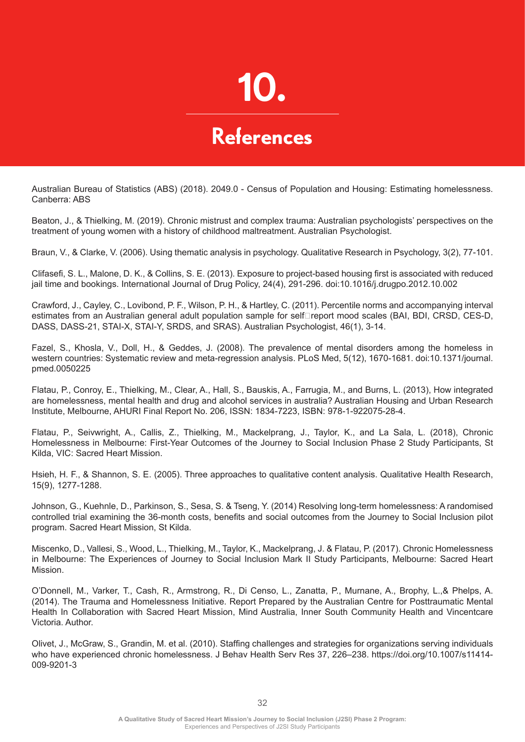# **References**

**10.**

Australian Bureau of Statistics (ABS) (2018). 2049.0 - Census of Population and Housing: Estimating homelessness. Canberra: ABS

Beaton, J., & Thielking, M. (2019). Chronic mistrust and complex trauma: Australian psychologists' perspectives on the treatment of young women with a history of childhood maltreatment. Australian Psychologist.

Braun, V., & Clarke, V. (2006). Using thematic analysis in psychology. Qualitative Research in Psychology, 3(2), 77-101.

Clifasefi, S. L., Malone, D. K., & Collins, S. E. (2013). Exposure to project-based housing first is associated with reduced jail time and bookings. International Journal of Drug Policy, 24(4), 291-296. doi:10.1016/j.drugpo.2012.10.002

Crawford, J., Cayley, C., Lovibond, P. F., Wilson, P. H., & Hartley, C. (2011). Percentile norms and accompanying interval estimates from an Australian general adult population sample for self
eport mood scales (BAI, BDI, CRSD, CES-D, DASS, DASS-21, STAI-X, STAI-Y, SRDS, and SRAS). Australian Psychologist, 46(1), 3-14.

Fazel, S., Khosla, V., Doll, H., & Geddes, J. (2008). The prevalence of mental disorders among the homeless in western countries: Systematic review and meta-regression analysis. PLoS Med, 5(12), 1670-1681. doi:10.1371/journal. pmed.0050225

Flatau, P., Conroy, E., Thielking, M., Clear, A., Hall, S., Bauskis, A., Farrugia, M., and Burns, L. (2013), How integrated are homelessness, mental health and drug and alcohol services in australia? Australian Housing and Urban Research Institute, Melbourne, AHURI Final Report No. 206, ISSN: 1834-7223, ISBN: 978-1-922075-28-4.

Flatau, P., Seivwright, A., Callis, Z., Thielking, M., Mackelprang, J., Taylor, K., and La Sala, L. (2018), Chronic Homelessness in Melbourne: First-Year Outcomes of the Journey to Social Inclusion Phase 2 Study Participants, St Kilda, VIC: Sacred Heart Mission.

Hsieh, H. F., & Shannon, S. E. (2005). Three approaches to qualitative content analysis. Qualitative Health Research, 15(9), 1277-1288.

Johnson, G., Kuehnle, D., Parkinson, S., Sesa, S. & Tseng, Y. (2014) Resolving long-term homelessness: A randomised controlled trial examining the 36-month costs, benefits and social outcomes from the Journey to Social Inclusion pilot program. Sacred Heart Mission, St Kilda.

Miscenko, D., Vallesi, S., Wood, L., Thielking, M., Taylor, K., Mackelprang, J. & Flatau, P. (2017). Chronic Homelessness in Melbourne: The Experiences of Journey to Social Inclusion Mark II Study Participants, Melbourne: Sacred Heart Mission.

O'Donnell, M., Varker, T., Cash, R., Armstrong, R., Di Censo, L., Zanatta, P., Murnane, A., Brophy, L.,& Phelps, A. (2014). The Trauma and Homelessness Initiative. Report Prepared by the Australian Centre for Posttraumatic Mental Health In Collaboration with Sacred Heart Mission, Mind Australia, Inner South Community Health and Vincentcare Victoria. Author.

Olivet, J., McGraw, S., Grandin, M. et al. (2010). Staffing challenges and strategies for organizations serving individuals who have experienced chronic homelessness. J Behav Health Serv Res 37, 226–238. https://doi.org/10.1007/s11414- 009-9201-3